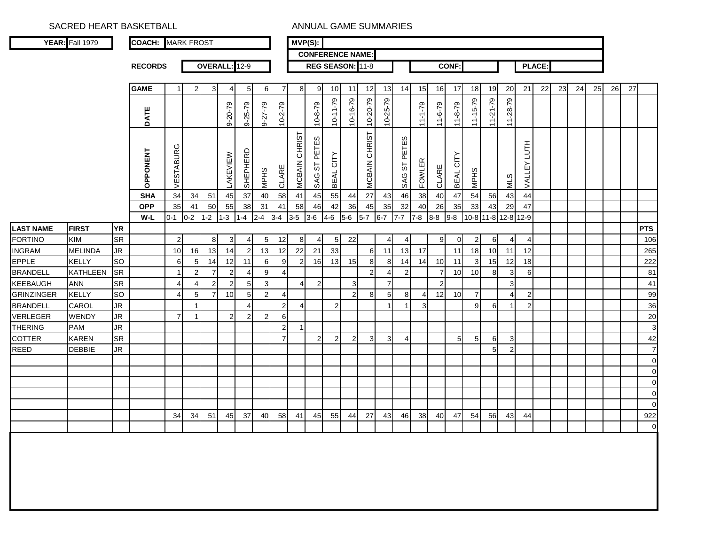SACRED HEART BASKETBALL **ANNUAL GAME SUMMARIES** 

|                   | <b>YEAR:</b> Fall 1979 |           | <b>COACH: MARK FROST</b> |                      |                 |                  |               |                  |                 |                | $MVP(S)$ :     |                  |                |                         |                  |                |                |               |                         |                 |                |                |                |                     |               |    |    |    |    |    |                       |
|-------------------|------------------------|-----------|--------------------------|----------------------|-----------------|------------------|---------------|------------------|-----------------|----------------|----------------|------------------|----------------|-------------------------|------------------|----------------|----------------|---------------|-------------------------|-----------------|----------------|----------------|----------------|---------------------|---------------|----|----|----|----|----|-----------------------|
|                   |                        |           |                          |                      |                 |                  |               |                  |                 |                |                |                  |                | <b>CONFERENCE NAME:</b> |                  |                |                |               |                         |                 |                |                |                |                     |               |    |    |    |    |    |                       |
|                   |                        |           | <b>RECORDS</b>           |                      |                 |                  | OVERALL: 12-9 |                  |                 |                |                |                  |                | REG SEASON: 11-8        |                  |                |                |               |                         | <b>CONF:</b>    |                |                |                |                     | <b>PLACE:</b> |    |    |    |    |    |                       |
|                   |                        |           |                          |                      |                 |                  |               |                  |                 |                |                |                  |                |                         |                  |                |                |               |                         |                 |                |                |                |                     |               |    |    |    |    |    |                       |
|                   |                        |           | <b>GAME</b>              | 1                    | 2               | 3                | 4             | 5                | 6               | $\overline{7}$ | 8              | 9                | 10             | 11                      | 12               | 13             | 14             | 15            | 16                      | 17              | 18             | 19             | 20             | 21                  | 22            | 23 | 24 | 25 | 26 | 27 |                       |
|                   |                        |           |                          |                      |                 |                  |               |                  |                 |                |                |                  |                |                         | 10-20-79         |                |                |               |                         |                 | $11 - 15 - 79$ | $11 - 21 - 79$ | 11-28-79       |                     |               |    |    |    |    |    |                       |
|                   |                        |           | DATE                     |                      |                 |                  | $9 - 20 - 79$ | $9 - 25 - 79$    | $9 - 7 - 79$    | $10 - 2 - 79$  |                | $10 - 8 - 79$    | $10 - 11 - 79$ | $10 - 16 - 79$          |                  | $10 - 25 - 79$ |                | $62 - 1 - 11$ | $11 - 6 - 79$           | $11 - 8 - 79$   |                |                |                |                     |               |    |    |    |    |    |                       |
|                   |                        |           |                          |                      |                 |                  |               |                  |                 |                |                |                  |                |                         |                  |                |                |               |                         |                 |                |                |                |                     |               |    |    |    |    |    |                       |
|                   |                        |           | <b>OPPONENT</b>          | ৩<br><b>VESTABUR</b> |                 |                  | LAKEVIEW      | SHEPHERD         | <b>MPHS</b>     | CLARE          | MCBAIN CHRIST  | ΈS<br>SAG ST PET | BEAL CITY      |                         | MCBAIN CHRIST    |                | ST PETES       | <b>FOWLER</b> | CLARE                   | BEAL CITY       | <b>MPHS</b>    |                |                | HLDT.<br>VALLEY     |               |    |    |    |    |    |                       |
|                   |                        |           |                          |                      |                 |                  |               |                  |                 |                |                |                  |                |                         |                  |                | SAG            |               |                         |                 |                |                | <b>MLS</b>     |                     |               |    |    |    |    |    |                       |
|                   |                        |           | <b>SHA</b>               | 34                   | 34              | 51               | 45            | 37               | 40              | 58             | 41             | 45               | 55             | 44                      | $27\,$           | 43             | 46             | 38            | 40                      | 47              | 54             | 56             | 43             | 44                  |               |    |    |    |    |    |                       |
|                   |                        |           | <b>OPP</b>               | 35                   | 41              | 50               | 55            | 38               | 31              | 41             | 58             | 46               | 42             | 36                      | 45               | 35             | 32             | 40            | 26                      | 35              | 33             | 43             | 29             | 47                  |               |    |    |    |    |    |                       |
|                   |                        |           | W-L                      | $0 - 1$              | $0 - 2$         | l -2             | $1 - 3$       | 1-4              | $2 - 4$         | $3-4$          | $3-5$          | $3-6$            | $4 - 6$        | $5-6$                   | $5 - 7$          | $6 - 7$        | $7 - 7$        | $7 - 8$       | $8 - 8$                 | $9 - 8$         |                |                |                | 10-8 11-8 12-8 12-9 |               |    |    |    |    |    |                       |
| <b>LAST NAME</b>  | <b>FIRST</b>           | <b>YR</b> |                          |                      |                 |                  |               |                  |                 |                |                |                  |                |                         |                  |                |                |               |                         |                 |                |                |                |                     |               |    |    |    |    |    | <b>PTS</b>            |
| <b>FORTINO</b>    | KIM                    | <b>SR</b> |                          | $\overline{c}$       |                 | 8                | 3             | 4                | $5\overline{)}$ | 12             | 8              | 4                | 5              | 22                      |                  | 4              | 4              |               | 9                       | $\mathbf 0$     | $\overline{2}$ | 6              | $\overline{4}$ | 4                   |               |    |    |    |    |    | 106                   |
| <b>INGRAM</b>     | <b>MELINDA</b>         | JR        |                          | 10                   | 16              | 13               | 14            | $\overline{c}$   | 13              | 12             | 22             | 21               | 33             |                         | 6                | 11             | 13             | 17            |                         | 11              | 18             | 10             | 11             | 12                  |               |    |    |    |    |    | 265                   |
| <b>EPPLE</b>      | <b>KELLY</b>           | <b>SO</b> |                          | 6                    | 5               | 14               | 12            | 11               | 6               | 9              | $\overline{c}$ | 16               | 13             | 15                      | 8                | 8              | 14             | 14            | 10                      | 11              | 3              | 15             | 12             | 18                  |               |    |    |    |    |    | 222                   |
| <b>BRANDELL</b>   | <b>KATHLEEN</b>        | <b>SR</b> |                          | 1                    | $\mathbf 2$     | $\boldsymbol{7}$ | $\mathbf{2}$  | 4                | 9               | $\overline{4}$ |                |                  |                |                         | $\boldsymbol{2}$ | 4              | $\overline{a}$ |               | $\overline{7}$          | 10              | 10             | 8              | 3              | 6                   |               |    |    |    |    |    | 81                    |
| KEEBAUGH          | <b>ANN</b>             | <b>SR</b> |                          | 4                    | 4               | $\mathbf 2$      | $\mathbf{2}$  | 5                | $\mathbf{3}$    |                | $\overline{4}$ | $\overline{c}$   |                | 3                       |                  | $\overline{7}$ |                |               | $\overline{\mathbf{c}}$ |                 |                |                | 3              |                     |               |    |    |    |    |    | 41                    |
| <b>GRINZINGER</b> | <b>KELLY</b>           | SO        |                          | 4                    | $5\overline{)}$ | $\overline{7}$   | 10            | 5                | $\mathbf{2}$    | $\overline{4}$ |                |                  |                | $\overline{c}$          | 8                | 5              | 8              | 4             | 12                      | 10              | $\overline{7}$ |                | $\overline{4}$ | $\overline{c}$      |               |    |    |    |    |    | 99                    |
| <b>BRANDELL</b>   | CAROL                  | JR        |                          |                      | $\mathbf{1}$    |                  |               | $\overline{4}$   |                 | $\overline{2}$ | $\overline{4}$ |                  | $\overline{2}$ |                         |                  | $\mathbf{1}$   | 1              | 3             |                         |                 | 9              | 6              | $\mathbf{1}$   | $\overline{2}$      |               |    |    |    |    |    | 36                    |
| <b>VERLEGER</b>   | <b>WENDY</b>           | JR        |                          | $\overline{7}$       | -1              |                  | $\mathbf{2}$  | $\boldsymbol{2}$ | $\mathbf{2}$    | 6              |                |                  |                |                         |                  |                |                |               |                         |                 |                |                |                |                     |               |    |    |    |    |    | 20                    |
| <b>THERING</b>    | <b>PAM</b>             | JR        |                          |                      |                 |                  |               |                  |                 | $\overline{2}$ | $\mathbf 1$    |                  |                |                         |                  |                |                |               |                         |                 |                |                |                |                     |               |    |    |    |    |    | $\mathbf{3}$          |
| <b>COTTER</b>     | <b>KAREN</b>           | <b>SR</b> |                          |                      |                 |                  |               |                  |                 | $\overline{7}$ |                | $\overline{c}$   | $\overline{c}$ | $\overline{2}$          | 3                | $\mathsf 3$    | 4              |               |                         | $5\overline{)}$ | 5              | 6              | 3              |                     |               |    |    |    |    |    | 42                    |
| <b>REED</b>       | <b>DEBBIE</b>          | JR        |                          |                      |                 |                  |               |                  |                 |                |                |                  |                |                         |                  |                |                |               |                         |                 |                | 5              | $\overline{2}$ |                     |               |    |    |    |    |    | $\overline{7}$        |
|                   |                        |           |                          |                      |                 |                  |               |                  |                 |                |                |                  |                |                         |                  |                |                |               |                         |                 |                |                |                |                     |               |    |    |    |    |    | $\overline{0}$        |
|                   |                        |           |                          |                      |                 |                  |               |                  |                 |                |                |                  |                |                         |                  |                |                |               |                         |                 |                |                |                |                     |               |    |    |    |    |    | $\overline{0}$        |
|                   |                        |           |                          |                      |                 |                  |               |                  |                 |                |                |                  |                |                         |                  |                |                |               |                         |                 |                |                |                |                     |               |    |    |    |    |    | $\mathbf 0$           |
|                   |                        |           |                          |                      |                 |                  |               |                  |                 |                |                |                  |                |                         |                  |                |                |               |                         |                 |                |                |                |                     |               |    |    |    |    |    | $\mathbf 0$           |
|                   |                        |           |                          |                      |                 |                  |               |                  |                 |                |                |                  |                |                         |                  |                |                |               |                         |                 |                |                |                |                     |               |    |    |    |    |    | $\mathbf 0$           |
|                   |                        |           |                          | 34                   | 34              | 51               | 45            | 37               | 40              | 58             | 41             | 45               | 55             | 44                      | 27               | 43             | 46             | 38            | 40                      | 47              | 54             | 56             | 43             | 44                  |               |    |    |    |    |    | 922<br>$\overline{0}$ |
|                   |                        |           |                          |                      |                 |                  |               |                  |                 |                |                |                  |                |                         |                  |                |                |               |                         |                 |                |                |                |                     |               |    |    |    |    |    |                       |
|                   |                        |           |                          |                      |                 |                  |               |                  |                 |                |                |                  |                |                         |                  |                |                |               |                         |                 |                |                |                |                     |               |    |    |    |    |    |                       |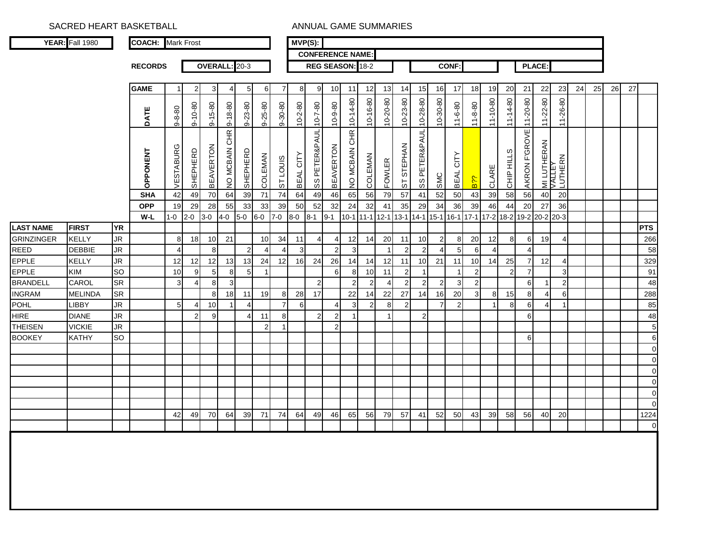SACRED HEART BASKETBALL **ANNUAL GAME SUMMARIES** 

|                  | <b>YEAR:</b> Fall 1980 |           | <b>COACH:</b> Mark Frost |                |                |                  |               |                 |                |                | $\overline{\mathsf{MVP}}(S)$ : |                         |                         |                |                |                |                |                                                                  |                |                     |                |                |                |                |                   |                   |    |    |    |    |             |
|------------------|------------------------|-----------|--------------------------|----------------|----------------|------------------|---------------|-----------------|----------------|----------------|--------------------------------|-------------------------|-------------------------|----------------|----------------|----------------|----------------|------------------------------------------------------------------|----------------|---------------------|----------------|----------------|----------------|----------------|-------------------|-------------------|----|----|----|----|-------------|
|                  |                        |           |                          |                |                |                  |               |                 |                |                |                                | <b>CONFERENCE NAME:</b> |                         |                |                |                |                |                                                                  |                |                     |                |                |                |                |                   |                   |    |    |    |    |             |
|                  |                        |           | <b>RECORDS</b>           |                |                |                  | OVERALL: 20-3 |                 |                |                |                                | REG SEASON: 18-2        |                         |                |                |                |                |                                                                  |                | <b>CONF:</b>        |                |                |                |                | <b>PLACE:</b>     |                   |    |    |    |    |             |
|                  |                        |           |                          |                |                |                  |               |                 |                |                |                                |                         |                         |                |                |                |                |                                                                  |                |                     |                |                |                |                |                   |                   |    |    |    |    |             |
|                  |                        |           | <b>GAME</b>              |                | $\mathbf{2}$   | 3                | 4             | 5               | 6              | 7              | 8                              | 9                       | 10                      | 11             | 12             | 13             | 14             | 15                                                               | 16             | 17                  | 18             | 19             | 20             | 21             | 22                | 23                | 24 | 25 | 26 | 27 |             |
|                  |                        |           | DATE                     | $9 - 8 - 80$   | $9 - 10 - 80$  | $9 - 15 - 80$    | 9-18-80       | $9 - 23 - 80$   | $9 - 25 - 80$  | $9 - 30 - 80$  | $10 - 2 - 80$                  | $10 - 7 - 80$           | $10 - 9 - 80$           | $10 - 14 - 80$ | $10 - 16 - 80$ | $10 - 20 - 80$ | $10 - 23 - 80$ | $10 - 28 - 80$                                                   | $10 - 30 - 80$ | $11 - 6 - 80$       | $11 - 8 - 80$  | $11 - 10 - 80$ | $11 - 14 - 80$ | $11 - 20 - 80$ | $11 - 22 - 80$    | $11 - 26 - 80$    |    |    |    |    |             |
|                  |                        |           | OPPONENT                 | VESTABURG      | SHEPHERD       | <b>BEAVERTON</b> | NO MCBAIN CHR | SHEPHERD        | <b>COLEMAN</b> | ST LOUIS       | BEAL CITY                      | SS PETER&PAUL           | <b>BEAVERTON</b>        | NO MCBAIN CHR  | COLEMAN        | <b>FOWLER</b>  | ST STEPHAN     | SS PETER&PAUL                                                    | SMC            | CITY<br><b>BEAL</b> | 8??            | CLARE          | CHIP HILLS     | AKRON F'GROVE  | <b>MILUTHERAN</b> | LUTHERN<br>VALLEY |    |    |    |    |             |
|                  |                        |           | <b>SHA</b>               | 42             | 49             | 70               | 64            | 39              | 71             | 74             | 64                             | 49                      | 46                      | 65             | 56             | 79             | 57             | 41                                                               | 52             | 50                  | 43             | 39             | 58             | 56             | 40                | 20                |    |    |    |    |             |
|                  |                        |           | <b>OPP</b>               | 19             | 29             | 28               | 55            | 33              | 33             | 39             | 50                             | 52                      | 32                      | 24             | 32             | 41             | 35             | 29                                                               | 34             | 36                  | 39             | 46             | 44             | 20             | 27                | 36                |    |    |    |    |             |
|                  |                        |           | W-L                      | $1-0$ 2-0      |                | $3-0$            | $4 - 0$       | $5-0$           | $6-0$          | $7-0$          | $8-0$                          | $8-1$ 9-1               |                         |                |                |                |                | 10-1 11-1 12-1 13-1 14-1 15-1 16-1 17-1 17-2 18-2 19-2 20-2 20-3 |                |                     |                |                |                |                |                   |                   |    |    |    |    |             |
| <b>LAST NAME</b> | <b>FIRST</b>           | <b>YR</b> |                          |                |                |                  |               |                 |                |                |                                |                         |                         |                |                |                |                |                                                                  |                |                     |                |                |                |                |                   |                   |    |    |    |    | <b>PTS</b>  |
| GRINZINGER       | <b>KELLY</b>           | <b>JR</b> |                          | 8              | 18             | 10               | 21            |                 | 10             | 34             | 11                             | $\overline{4}$          | 4                       | 12             | 14             | 20             | 11             | 10                                                               | $\overline{c}$ | 8                   | 20             | 12             | 8              | 6              | 19                | 4                 |    |    |    |    | 266         |
| <b>REED</b>      | <b>DEBBIE</b>          | <b>JR</b> |                          | 4              |                | 8                |               | $\overline{2}$  | 4              | 4              | 3                              |                         | $\sqrt{2}$              | 3              |                | $\mathbf{1}$   | $\overline{c}$ | $\overline{2}$                                                   | $\overline{4}$ | 5                   | 6              | $\overline{4}$ |                | $\sqrt{2}$     |                   |                   |    |    |    |    | 58          |
| EPPLE<br>EPPLE   | <b>KELLY</b>           | <b>JR</b> |                          | 12             | 12             | 12               | 13            | 13              | 24             | 12             | 16                             | 24                      | 26                      | 14             | 14             | 12             | 11             | 10                                                               | 21             | 11                  | 10             | 14             | 25             | 7              | 12                | 4                 |    |    |    |    | 329         |
|                  | <b>KIM</b>             | SO        |                          | 10             | 9              | 5 <sub>5</sub>   | 8             | $5\overline{)}$ |                |                |                                |                         | $\,6$                   | 8              | 10             | 11             | $\overline{2}$ | $\mathbf{1}$                                                     |                | -1                  | $\overline{c}$ |                | $\overline{2}$ | $\overline{7}$ |                   | 3                 |    |    |    |    | 91          |
| <b>BRANDELL</b>  | CAROL                  | <b>SR</b> |                          | 3              | $\overline{4}$ | 8                | $\mathbf{3}$  |                 |                |                |                                | $\overline{2}$          |                         | $\overline{c}$ | $\overline{2}$ | $\overline{4}$ | $\overline{2}$ | $\overline{2}$                                                   | $\overline{2}$ | 3                   | $\overline{2}$ |                |                | 6              | -1                | $\overline{2}$    |    |    |    |    | 48          |
| <b>INGRAM</b>    | <b>MELINDA</b>         | <b>SR</b> |                          |                |                | 8                | 18            | 11              | 19             | 8              | 28                             | 17                      |                         | 22             | 14             | 22             | 27             | 14                                                               | 16             | 20                  | 3              | 8              | 15             | 8              | 4                 | 6                 |    |    |    |    | 288         |
| <b>POHL</b>      | LIBBY                  | <b>JR</b> |                          | 5 <sub>l</sub> | 4              | 10               |               | $\overline{4}$  |                | $\overline{7}$ | 6                              |                         | 4                       | 3              | $\overline{2}$ | 8              | $\overline{2}$ |                                                                  | 7              | $\overline{2}$      |                |                | 8              | 6              | ∠                 |                   |    |    |    |    | 85          |
| <b>HIRE</b>      | <b>DIANE</b>           | <b>JR</b> |                          |                | $\overline{2}$ | 9                |               | 4               | 11             | 8              |                                | $\overline{2}$          | $\overline{\mathbf{c}}$ | 1              |                | -1             |                | $\overline{2}$                                                   |                |                     |                |                |                | 6              |                   |                   |    |    |    |    | 48          |
| <b>THEISEN</b>   | <b>VICKIE</b>          | <b>JR</b> |                          |                |                |                  |               |                 | $\overline{2}$ | 1              |                                |                         | $\overline{c}$          |                |                |                |                |                                                                  |                |                     |                |                |                |                |                   |                   |    |    |    |    | $\sqrt{5}$  |
| <b>BOOKEY</b>    | <b>KATHY</b>           | <b>SO</b> |                          |                |                |                  |               |                 |                |                |                                |                         |                         |                |                |                |                |                                                                  |                |                     |                |                |                | 6              |                   |                   |    |    |    |    | 6           |
|                  |                        |           |                          |                |                |                  |               |                 |                |                |                                |                         |                         |                |                |                |                |                                                                  |                |                     |                |                |                |                |                   |                   |    |    |    |    | $\pmb{0}$   |
|                  |                        |           |                          |                |                |                  |               |                 |                |                |                                |                         |                         |                |                |                |                |                                                                  |                |                     |                |                |                |                |                   |                   |    |    |    |    | $\pmb{0}$   |
|                  |                        |           |                          |                |                |                  |               |                 |                |                |                                |                         |                         |                |                |                |                |                                                                  |                |                     |                |                |                |                |                   |                   |    |    |    |    | $\pmb{0}$   |
|                  |                        |           |                          |                |                |                  |               |                 |                |                |                                |                         |                         |                |                |                |                |                                                                  |                |                     |                |                |                |                |                   |                   |    |    |    |    | $\pmb{0}$   |
|                  |                        |           |                          |                |                |                  |               |                 |                |                |                                |                         |                         |                |                |                |                |                                                                  |                |                     |                |                |                |                |                   |                   |    |    |    |    | $\pmb{0}$   |
|                  |                        |           |                          |                |                |                  |               |                 |                |                |                                |                         |                         |                |                |                |                |                                                                  |                |                     |                |                |                |                |                   |                   |    |    |    |    | $\mathbf 0$ |
|                  |                        |           |                          | 42             | 49             | 70               | 64            | 39              | 71             | 74             | 64                             | 49                      | 46                      | 65             | 56             | 79             | 57             | 41                                                               | 52             | 50                  | 43             | 39             | 58             | 56             | 40                | 20                |    |    |    |    | 1224        |
|                  |                        |           |                          |                |                |                  |               |                 |                |                |                                |                         |                         |                |                |                |                |                                                                  |                |                     |                |                |                |                |                   |                   |    |    |    |    | $\mathbf 0$ |
|                  |                        |           |                          |                |                |                  |               |                 |                |                |                                |                         |                         |                |                |                |                |                                                                  |                |                     |                |                |                |                |                   |                   |    |    |    |    |             |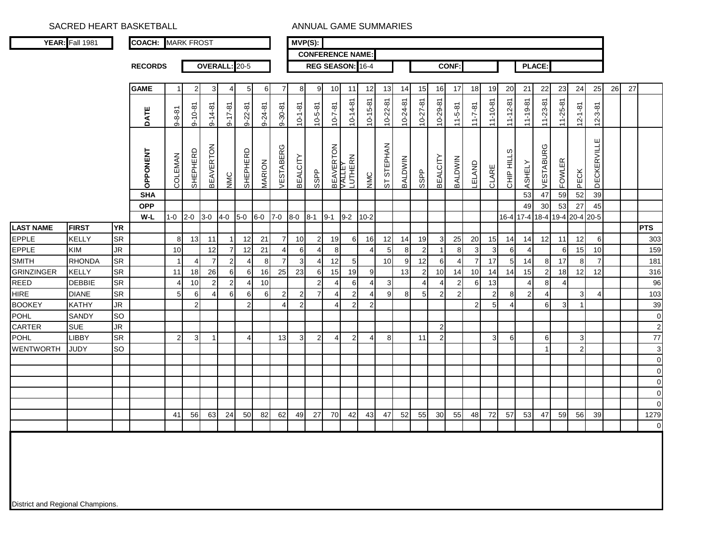SACRED HEART BASKETBALL **ANNUAL GAME SUMMARIES** 

|                                  | YEAR: Fall 1981 |           | <b>COACH:</b> MARK FROST |                |                |                  |                  |                |                  |                | $MVP(S)$ :      |                         |                     |                |                  |                 |                  |                  |                 |                |                |                |                |                  |                |                               |                |                    |    |    |                |
|----------------------------------|-----------------|-----------|--------------------------|----------------|----------------|------------------|------------------|----------------|------------------|----------------|-----------------|-------------------------|---------------------|----------------|------------------|-----------------|------------------|------------------|-----------------|----------------|----------------|----------------|----------------|------------------|----------------|-------------------------------|----------------|--------------------|----|----|----------------|
|                                  |                 |           |                          |                |                |                  |                  |                |                  |                |                 | <b>CONFERENCE NAME:</b> |                     |                |                  |                 |                  |                  |                 |                |                |                |                |                  |                |                               |                |                    |    |    |                |
|                                  |                 |           | <b>RECORDS</b>           |                |                | OVERALL: 20-5    |                  |                |                  |                |                 |                         |                     |                | REG SEASON: 16-4 |                 |                  |                  |                 | <b>CONF:</b>   |                |                |                |                  | <b>PLACE:</b>  |                               |                |                    |    |    |                |
|                                  |                 |           |                          |                |                |                  |                  |                |                  |                |                 |                         |                     |                |                  |                 |                  |                  |                 |                |                |                |                |                  |                |                               |                |                    |    |    |                |
|                                  |                 |           | <b>GAME</b>              | -1             | $\overline{a}$ | 3 <sup>1</sup>   | 41               | 5              | 6                |                | 8               | 9                       | 10                  | 11             | 12               | 13              | 14               | 15               | 16              | 17             | 18             | 19             | 20             | 21               | 22             | 23                            | 24             | 25                 | 26 | 27 |                |
|                                  |                 |           |                          |                |                |                  |                  |                |                  |                |                 |                         |                     |                |                  |                 |                  |                  |                 |                |                |                |                |                  |                |                               |                |                    |    |    |                |
|                                  |                 |           | DATE                     | $9 - 8 - 81$   | $9 - 10 - 81$  | $9 - 14 - 81$    | $9 - 17 - 81$    | $9 - 22 - 81$  | 9-24-81          | $9 - 30 - 81$  | $10 - 1 - 81$   | $10 - 5 - 81$           | $10 - 7 - 81$       | $10 - 14 - 81$ | $10 - 15 - 81$   | $10 - 22 - 81$  | $10-24-81$       | 10-27-81         | 10-29-81        | $11 - 5 - 81$  | $11 - 7 - 81$  | $11 - 10 - 81$ | $11 - 12 - 81$ | 11-19-81         | 11-23-81       | $11 - 25 - 81$                | $12 - 1 - 81$  | $12 - 3 - 81$      |    |    |                |
|                                  |                 |           | OPPONENT                 | COLEMAN        | SHEPHERD       | <b>BEAVERTON</b> | NMC              | SHEPHERD       | MARION           | VESTABERG      | <b>BEALCITY</b> | <b>SSPP</b>             | BEAVERTON<br>VALLEY | LUTHERN        | NMC              | ST STEPHAN      | <b>BALDWIN</b>   | <b>SSPP</b>      | <b>BEALCITY</b> | BALDWIN        | LELAND         | CLARE          | CHIP HILLS     | <b>ASHELY</b>    | VESTABURG      | <b>FOWLER</b>                 | PECK           | <b>DECKERVILLE</b> |    |    |                |
|                                  |                 |           | <b>SHA</b>               |                |                |                  |                  |                |                  |                |                 |                         |                     |                |                  |                 |                  |                  |                 |                |                |                |                | 53               | 47             | 59                            | 52             | 39                 |    |    |                |
|                                  |                 |           | <b>OPP</b>               |                |                |                  |                  |                |                  |                |                 |                         |                     |                |                  |                 |                  |                  |                 |                |                |                |                | 49               | 30             | 53                            | 27             | 45                 |    |    |                |
|                                  |                 |           | W-L                      | $1 - 0$        | $2 - 0$        | $3-0$            | $4-0$            | $5-0$          | $6-0$            | $7-0$          | $8-0$           | $8-1$                   | $9 - 1$             | $9-2$          | $10 - 2$         |                 |                  |                  |                 |                |                |                |                |                  |                | 16-4 17-4 18-4 19-4 20-4 20-5 |                |                    |    |    |                |
| <b>LAST NAME</b>                 | <b>FIRST</b>    | <b>YR</b> |                          |                |                |                  |                  |                |                  |                |                 |                         |                     |                |                  |                 |                  |                  |                 |                |                |                |                |                  |                |                               |                |                    |    |    | <b>PTS</b>     |
| <b>EPPLE</b>                     | <b>KELLY</b>    | <b>SR</b> |                          | 8 <sup>1</sup> | 13             | 11               | 1                | 12             | 21               | 7 <sup>1</sup> | 10              | 2                       | 19                  | 6              | 16               | 12              | 14               | 19               | 3               | 25             | 20             | 15             | 14             | 14               | 12             | 11                            | 12             | 6                  |    |    | 303            |
| <b>EPPLE</b>                     | <b>KIM</b>      | <b>JR</b> |                          | 10             |                | 12               | $\overline{7}$   | 12             | 21               | $\overline{4}$ | 6               | 4                       | 8                   |                | $\overline{4}$   | $5\overline{)}$ | $\bf 8$          | $2 \overline{)}$ | $\mathbf{1}$    | 8              | $\mathbf{3}$   | $\mathsf 3$    | 6              | 4                |                | 6                             | 15             | 10                 |    |    | 159            |
| <b>SMITH</b>                     | <b>RHONDA</b>   | SR        |                          | $\overline{1}$ | $\overline{4}$ | $\overline{7}$   | $2\vert$         | $\overline{4}$ | 8                | $\overline{7}$ | 3 <sup>l</sup>  | $\overline{4}$          | 12                  | 5 <sub>5</sub> |                  | 10              | $\boldsymbol{9}$ | 12               | $\,$ 6 $\,$     | $\overline{4}$ | $\overline{7}$ | 17             | $\overline{5}$ | 14               | 8              | 17                            | 8              | $\overline{7}$     |    |    | 181            |
| <b>GRINZINGER</b>                | <b>KELLY</b>    | SR        |                          | 11             | 18             | 26               | 6                | 6              | 16               | 25             | 23              | 6                       | 15                  | 19             | 9                |                 | 13               | $\overline{2}$   | 10              | 14             | 10             | 14             | 14             | 15               | $\mathbf{2}$   | 18                            | 12             | 12                 |    |    | 316            |
| <b>REED</b>                      | <b>DEBBIE</b>   | <b>SR</b> |                          | 4              | 10             | $2\vert$         | 2                | $\overline{4}$ | 10               |                |                 | $2 \vert$               | $\overline{4}$      | 6              | 4                | 3               |                  | $\overline{4}$   | $\overline{4}$  | 2              | 6              | 13             |                | 4                | $\,8\,$        | 4                             |                |                    |    |    | 96             |
| <b>HIRE</b>                      | <b>DIANE</b>    | SR        |                          | 5              | 6              | $\overline{4}$   | $6 \overline{6}$ | 6              | $6 \overline{6}$ | $2 \vert$      | $\mathbf{2}$    | $\overline{7}$          | $\overline{4}$      | $\overline{2}$ | 4                | $\overline{9}$  | 8                | 5 <sub>l</sub>   | $\overline{2}$  | $\overline{2}$ |                | $\overline{c}$ | 8              | $\boldsymbol{2}$ | $\overline{4}$ |                               | 3              | 4                  |    |    | 103            |
| <b>BOOKEY</b>                    | <b>KATHY</b>    | <b>JR</b> |                          |                | $\overline{2}$ |                  |                  | $\overline{2}$ |                  | $\overline{4}$ | 2               |                         | 4                   | $\overline{2}$ | $\overline{2}$   |                 |                  |                  |                 |                | $\mathbf{2}$   | 5              | 4              |                  | 6              | 3 <sup>1</sup>                | $\overline{1}$ |                    |    |    | 39             |
| POHL                             | SANDY           | SO        |                          |                |                |                  |                  |                |                  |                |                 |                         |                     |                |                  |                 |                  |                  |                 |                |                |                |                |                  |                |                               |                |                    |    |    | $\pmb{0}$      |
| CARTER                           | <b>SUE</b>      | JR        |                          |                |                |                  |                  |                |                  |                |                 |                         |                     |                |                  |                 |                  |                  | $\overline{2}$  |                |                |                |                |                  |                |                               |                |                    |    |    | $\overline{c}$ |
| <b>POHL</b>                      | <b>LIBBY</b>    | <b>SR</b> |                          | $\overline{2}$ | 3 <sub>l</sub> | -1               |                  | $\overline{4}$ |                  | 13             | 3 <sub>l</sub>  | $\overline{2}$          | 4                   | $\overline{2}$ | 4                | 8               |                  | 11               | $\overline{2}$  |                |                | 3              | 6              |                  | 6              |                               | 3              |                    |    |    | $77\,$         |
| <b>WENTWORTH</b>                 | <b>JUDY</b>     | SO        |                          |                |                |                  |                  |                |                  |                |                 |                         |                     |                |                  |                 |                  |                  |                 |                |                |                |                |                  |                |                               | $\overline{2}$ |                    |    |    | $\mathbf{3}$   |
|                                  |                 |           |                          |                |                |                  |                  |                |                  |                |                 |                         |                     |                |                  |                 |                  |                  |                 |                |                |                |                |                  |                |                               |                |                    |    |    | $\pmb{0}$      |
|                                  |                 |           |                          |                |                |                  |                  |                |                  |                |                 |                         |                     |                |                  |                 |                  |                  |                 |                |                |                |                |                  |                |                               |                |                    |    |    | $\mathbf 0$    |
|                                  |                 |           |                          |                |                |                  |                  |                |                  |                |                 |                         |                     |                |                  |                 |                  |                  |                 |                |                |                |                |                  |                |                               |                |                    |    |    | $\mathbf 0$    |
|                                  |                 |           |                          |                |                |                  |                  |                |                  |                |                 |                         |                     |                |                  |                 |                  |                  |                 |                |                |                |                |                  |                |                               |                |                    |    |    | $\pmb{0}$      |
|                                  |                 |           |                          |                |                |                  |                  |                |                  |                |                 |                         |                     |                |                  |                 |                  |                  |                 |                |                |                |                |                  |                |                               |                |                    |    |    | $\mathbf 0$    |
|                                  |                 |           |                          | 41             | 56             | 63               | 24               | 50             | 82               | 62             | 49              | 27                      | 70                  | 42             | 43               | 47              | 52               | 55               | 30              | 55             | 48             | 72             | 57             | 53               | 47             | 59                            | 56             | 39                 |    |    | 1279           |
|                                  |                 |           |                          |                |                |                  |                  |                |                  |                |                 |                         |                     |                |                  |                 |                  |                  |                 |                |                |                |                |                  |                |                               |                |                    |    |    | $\pmb{0}$      |
| District and Regional Champions. |                 |           |                          |                |                |                  |                  |                |                  |                |                 |                         |                     |                |                  |                 |                  |                  |                 |                |                |                |                |                  |                |                               |                |                    |    |    |                |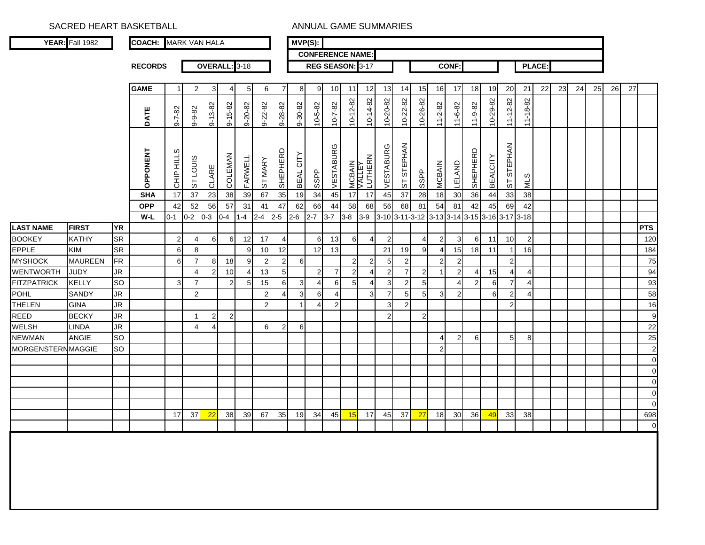SACRED HEART BASKETBALL ANNUAL GAME SUMMARIES

|                          | <b>YEAR:</b> Fall 1982 |           | <b>COACH: MARK VAN HALA</b> |              |                |                |                  |                 |                |                | $MVP(S)$ :   |                |                |                         |                             |                  |                  |                                    |                |                         |                |                 |                |                |               |    |    |    |    |    |                |
|--------------------------|------------------------|-----------|-----------------------------|--------------|----------------|----------------|------------------|-----------------|----------------|----------------|--------------|----------------|----------------|-------------------------|-----------------------------|------------------|------------------|------------------------------------|----------------|-------------------------|----------------|-----------------|----------------|----------------|---------------|----|----|----|----|----|----------------|
|                          |                        |           |                             |              |                |                |                  |                 |                |                |              |                |                | <b>CONFERENCE NAME:</b> |                             |                  |                  |                                    |                |                         |                |                 |                |                |               |    |    |    |    |    |                |
|                          |                        |           | <b>RECORDS</b>              |              |                |                | OVERALL: 3-18    |                 |                |                |              |                |                | REG SEASON: 3-17        |                             |                  |                  |                                    |                | <b>CONF:</b>            |                |                 |                |                | <b>PLACE:</b> |    |    |    |    |    |                |
|                          |                        |           |                             |              |                |                |                  |                 |                |                |              |                |                |                         |                             |                  |                  |                                    |                |                         |                |                 |                |                |               |    |    |    |    |    |                |
|                          |                        |           | <b>GAME</b>                 |              | $2 \,$         | 3              | 41               | $5\overline{)}$ | 6              | 7              | 8            | 9              | 10             | 11                      | 12                          | 13               | 14               | 15                                 | 16             | 17                      | 18             | 19              | 20             | 21             | 22            | 23 | 24 | 25 | 26 | 27 |                |
|                          |                        |           |                             |              |                |                |                  |                 |                |                |              |                |                |                         |                             | 10-20-82         | 10-22-82         | 10-26-82                           |                |                         |                | 10-29-82        |                |                |               |    |    |    |    |    |                |
|                          |                        |           | DATE                        | $9 - 7 - 82$ | 9-9-82         | $9 - 13 - 82$  | $9 - 15 - 82$    | $9 - 20 - 82$   | $9 - 22 - 82$  | 9-28-82        | 9-30-82      | 10-5-82        | $10 - 7 - 82$  | $10 - 12 - 82$          | 10-14-82                    |                  |                  |                                    | 11-2-82        | $11 - 6 - 82$           | $11 - 9 - 82$  |                 | $11 - 12 - 82$ | 11-18-82       |               |    |    |    |    |    |                |
|                          |                        |           |                             |              |                |                |                  |                 |                |                |              |                |                |                         |                             |                  |                  |                                    |                |                         |                |                 |                |                |               |    |    |    |    |    |                |
|                          |                        |           |                             |              |                |                |                  |                 |                |                |              |                |                |                         |                             |                  |                  |                                    |                |                         |                |                 |                |                |               |    |    |    |    |    |                |
|                          |                        |           |                             |              |                |                |                  |                 |                |                |              |                | VESTABURG      |                         |                             | VESTABURG        | ST STEPHAN       |                                    |                |                         |                |                 | ST STEPHAN     |                |               |    |    |    |    |    |                |
|                          |                        |           |                             |              |                |                |                  |                 |                |                |              |                |                |                         |                             |                  |                  |                                    |                |                         |                |                 |                |                |               |    |    |    |    |    |                |
|                          |                        |           | <b>DPPONENT</b>             | CHIP HILLS   | ST LOUIS       | CLARE          | <b>COLEMAN</b>   | FARWELL         | ST MARY        | SHEPHERD       | BEAL CITY    | <b>SSPP</b>    |                |                         | MCBAIN<br>VALLEY<br>LUTHERN |                  |                  | <b>SSPP</b>                        | <b>MCBAIN</b>  | LELAND                  | SHEPHERD       | <b>BEALCITY</b> |                | STIN           |               |    |    |    |    |    |                |
|                          |                        |           | <b>SHA</b>                  | 17           | 37             | 23             | 38               | 39              | 67             | 35             | 19           | 34             | 45             | 17                      | 17                          | 45               | 37               | 28                                 | 18             | 30                      | 36             | 44              | 33             | 38             |               |    |    |    |    |    |                |
|                          |                        |           | <b>OPP</b>                  | 42           | 52             | 56             | 57               | 31              | 41             | 47             | 62           | 66             | 44             | 58                      | 68                          | 56               | 68               | 81                                 | 54             | 81                      | 42             | 45              | 69             | 42             |               |    |    |    |    |    |                |
|                          |                        |           | W-L                         | $0 - 1$      | $0 - 2$        | $0-3$          | $0-4$            | $1 - 4$         | $2 - 4$        | $2 - 5$        | $2 - 6$      | $2 - 7$        | $3 - 7$        | $3-8$                   | $3-9$                       |                  |                  | 3-10 3-11-3-12 3-13 3-14 3-15 3-16 |                |                         |                |                 | $3 - 17$       | $3 - 18$       |               |    |    |    |    |    |                |
| <b>LAST NAME</b>         | <b>FIRST</b>           | <b>YR</b> |                             |              |                |                |                  |                 |                |                |              |                |                |                         |                             |                  |                  |                                    |                |                         |                |                 |                |                |               |    |    |    |    |    | <b>PTS</b>     |
| <b>BOOKEY</b>            | <b>KATHY</b>           | <b>SR</b> |                             | 2            | $\overline{4}$ | 6              | 6                | 12              | 17             | $\overline{4}$ |              | 6              | 13             | 6                       | 4                           | $\overline{2}$   |                  | 4                                  | $\overline{2}$ | 3                       | 6              | 11              | 10             | $\overline{2}$ |               |    |    |    |    |    | 120            |
| <b>EPPLE</b>             | <b>KIM</b>             | <b>SR</b> |                             | 6            | 8              |                |                  | 9               | 10             | 12             |              | 12             | 13             |                         |                             | 21               | 19               | 9                                  | $\overline{4}$ | 15                      | 18             | 11              | $\overline{1}$ | 16             |               |    |    |    |    |    | 184            |
| <b>MYSHOCK</b>           | <b>MAUREEN</b>         | <b>FR</b> |                             | 6            | $\overline{7}$ | 8 <sup>1</sup> | 18               | 9               | $\overline{2}$ | $\overline{2}$ | 6            |                |                | $\overline{2}$          | 2                           | 5                | $\overline{c}$   |                                    | $\overline{2}$ | $\sqrt{2}$              |                |                 | $\overline{2}$ |                |               |    |    |    |    |    | 75             |
| WENTWORTH                | <b>JUDY</b>            | <b>JR</b> |                             |              | $\overline{4}$ | $\overline{2}$ | 10               | $\overline{4}$  | 13             | 5 <sub>5</sub> |              | $\overline{2}$ | $\overline{7}$ | $\boldsymbol{2}$        | 4                           | $\boldsymbol{2}$ | $\overline{7}$   | $\overline{c}$                     | $\overline{1}$ | $\overline{2}$          | 4              | 15              | $\overline{4}$ | $\overline{4}$ |               |    |    |    |    |    | 94             |
| <b>FITZPATRICK</b>       | <b>KELLY</b>           | <b>SO</b> |                             | 3            | $\overline{7}$ |                | $2 \overline{ }$ | 5 <sub>5</sub>  | 15             | 6              | 3            | 4              | 6              | 5 <sub>5</sub>          | 4                           | 3                | $\boldsymbol{2}$ | $\mathbf 5$                        |                | $\overline{4}$          | $\overline{2}$ | 6               | 7              | 4              |               |    |    |    |    |    | 93             |
| <b>POHL</b>              | <b>SANDY</b>           | <b>JR</b> |                             |              | 2 <sub>1</sub> |                |                  |                 | $\overline{2}$ | $\overline{4}$ | $\mathbf{3}$ | 6              | 4              |                         | 3                           | $\overline{7}$   | $\mathbf 5$      | $\overline{5}$                     | $\mathsf 3$    | $\overline{\mathbf{c}}$ |                | 6               | $\overline{2}$ | $\overline{4}$ |               |    |    |    |    |    | 58             |
| THELEN                   | <b>GINA</b>            | <b>JR</b> |                             |              |                |                |                  |                 | $\overline{2}$ |                |              | 4              | $\overline{c}$ |                         |                             | 3                | $\overline{c}$   |                                    |                |                         |                |                 | $\overline{2}$ |                |               |    |    |    |    |    | 16             |
| <b>REED</b>              | <b>BECKY</b>           | <b>JR</b> |                             |              | $\mathbf{1}$   | $\overline{2}$ | $\overline{2}$   |                 |                |                |              |                |                |                         |                             | $\overline{2}$   |                  | $\overline{2}$                     |                |                         |                |                 |                |                |               |    |    |    |    |    | 9              |
| <b>WELSH</b>             | <b>LINDA</b>           | <b>JR</b> |                             |              | $\overline{4}$ | $\overline{4}$ |                  |                 | 6              | $\overline{2}$ | 6            |                |                |                         |                             |                  |                  |                                    |                |                         |                |                 |                |                |               |    |    |    |    |    | 22             |
| <b>NEWMAN</b>            | <b>ANGIE</b>           | <b>SO</b> |                             |              |                |                |                  |                 |                |                |              |                |                |                         |                             |                  |                  |                                    | 4              | $\overline{c}$          | 6              |                 | 5              | 8              |               |    |    |    |    |    | 25             |
| <b>MORGENSTERNMAGGIE</b> |                        | <b>SO</b> |                             |              |                |                |                  |                 |                |                |              |                |                |                         |                             |                  |                  |                                    | $\overline{2}$ |                         |                |                 |                |                |               |    |    |    |    |    | $\mathbf{2}$   |
|                          |                        |           |                             |              |                |                |                  |                 |                |                |              |                |                |                         |                             |                  |                  |                                    |                |                         |                |                 |                |                |               |    |    |    |    |    | $\overline{0}$ |
|                          |                        |           |                             |              |                |                |                  |                 |                |                |              |                |                |                         |                             |                  |                  |                                    |                |                         |                |                 |                |                |               |    |    |    |    |    | $\overline{0}$ |
|                          |                        |           |                             |              |                |                |                  |                 |                |                |              |                |                |                         |                             |                  |                  |                                    |                |                         |                |                 |                |                |               |    |    |    |    |    | $\overline{0}$ |
|                          |                        |           |                             |              |                |                |                  |                 |                |                |              |                |                |                         |                             |                  |                  |                                    |                |                         |                |                 |                |                |               |    |    |    |    |    | $\overline{0}$ |
|                          |                        |           |                             |              |                |                |                  |                 |                |                |              |                |                |                         |                             |                  |                  |                                    |                |                         |                |                 |                |                |               |    |    |    |    |    | $\overline{0}$ |
|                          |                        |           |                             | 17           | 37             | 22             | 38               | 39              | 67             | 35             | 19           | 34             | 45             | 15                      | -17                         | 45               | 37               | 27                                 | 18             | 30                      | 36             | 49              | 33             | 38             |               |    |    |    |    |    | 698            |
|                          |                        |           |                             |              |                |                |                  |                 |                |                |              |                |                |                         |                             |                  |                  |                                    |                |                         |                |                 |                |                |               |    |    |    |    |    | $\overline{0}$ |
|                          |                        |           |                             |              |                |                |                  |                 |                |                |              |                |                |                         |                             |                  |                  |                                    |                |                         |                |                 |                |                |               |    |    |    |    |    |                |
|                          |                        |           |                             |              |                |                |                  |                 |                |                |              |                |                |                         |                             |                  |                  |                                    |                |                         |                |                 |                |                |               |    |    |    |    |    |                |
|                          |                        |           |                             |              |                |                |                  |                 |                |                |              |                |                |                         |                             |                  |                  |                                    |                |                         |                |                 |                |                |               |    |    |    |    |    |                |
|                          |                        |           |                             |              |                |                |                  |                 |                |                |              |                |                |                         |                             |                  |                  |                                    |                |                         |                |                 |                |                |               |    |    |    |    |    |                |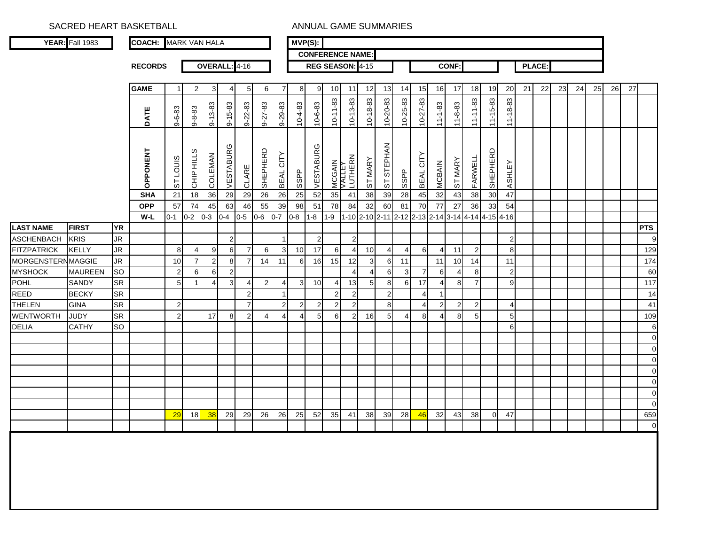SACRED HEART BASKETBALL **ANNUAL GAME SUMMARIES** 

|                                      | <b>YEAR:</b> Fall 1983 |                 | <b>COACH: MARK VAN HALA</b> |                  |                     |                     |                     |                                  |                       |                       |                 | $MVP(S)$ :     |                |                             |                     |                |                |                       |                               |                             |                |                |                      |    |        |    |    |    |    |    |                |
|--------------------------------------|------------------------|-----------------|-----------------------------|------------------|---------------------|---------------------|---------------------|----------------------------------|-----------------------|-----------------------|-----------------|----------------|----------------|-----------------------------|---------------------|----------------|----------------|-----------------------|-------------------------------|-----------------------------|----------------|----------------|----------------------|----|--------|----|----|----|----|----|----------------|
|                                      |                        |                 |                             |                  |                     |                     |                     |                                  |                       |                       |                 |                |                | <b>CONFERENCE NAME:</b>     |                     |                |                |                       |                               |                             |                |                |                      |    |        |    |    |    |    |    |                |
|                                      |                        |                 | <b>RECORDS</b>              |                  |                     |                     | OVERALL: 4-16       |                                  |                       |                       |                 |                |                | REG SEASON: 4-15            |                     |                |                |                       |                               | <b>CONF:</b>                |                |                |                      |    | PLACE: |    |    |    |    |    |                |
|                                      |                        |                 |                             |                  |                     |                     |                     |                                  |                       |                       |                 |                |                |                             |                     |                |                |                       |                               |                             |                |                |                      |    |        |    |    |    |    |    |                |
|                                      |                        |                 | <b>GAME</b>                 | -1               | 2                   | 3                   | 4                   | 5                                | 6                     | 7                     | 8               | 9              | 10             | 11                          | 12                  | 13             | 14             | 15                    | 16                            | 17                          | 18             | 19             | 20                   | 21 | 22     | 23 | 24 | 25 | 26 | 27 |                |
|                                      |                        |                 |                             |                  |                     |                     |                     |                                  |                       |                       |                 |                |                |                             |                     | $10 - 20 - 83$ | 10-25-83       |                       |                               |                             |                |                |                      |    |        |    |    |    |    |    |                |
|                                      |                        |                 | DATE                        | $9 - 6 - 83$     | $9 - 8 - 83$        | $9 - 13 - 83$       | 9-15-83             | $9 - 22 - 83$                    | $9 - 27 - 83$         | $9 - 29 - 83$         | $10-4-83$       | $10 - 6 - 83$  | $10 - 11 - 83$ | $10 - 13 - 83$              | $10 - 18 - 83$      |                |                | $10 - 27 - 83$        | $11 - 1 - 83$                 | $11 - 8 - 83$               | $11 - 11 - 83$ | $11 - 15 - 83$ | $11 - 18 - 83$       |    |        |    |    |    |    |    |                |
|                                      |                        |                 |                             |                  |                     |                     |                     |                                  |                       |                       |                 |                |                |                             |                     |                |                |                       |                               |                             |                |                |                      |    |        |    |    |    |    |    |                |
|                                      |                        |                 |                             |                  |                     |                     |                     |                                  |                       |                       |                 |                |                |                             |                     |                |                |                       |                               |                             |                |                |                      |    |        |    |    |    |    |    |                |
|                                      |                        |                 |                             |                  |                     |                     |                     |                                  |                       |                       |                 |                |                |                             |                     |                |                |                       |                               |                             |                |                |                      |    |        |    |    |    |    |    |                |
|                                      |                        |                 | OPPONENT                    | ST LOUIS         |                     |                     |                     |                                  |                       |                       |                 |                |                |                             |                     | ST STEPHAN     |                |                       |                               |                             |                |                |                      |    |        |    |    |    |    |    |                |
|                                      |                        |                 |                             |                  | CHIP HILLS          | <b>COLEMAN</b>      | VESTABURG           | CLARE                            | SHEPHERD              | BEAL CITY             | <b>SSPP</b>     | VESTABURG      |                | MCGAIN<br>VALLEY<br>LUTHERN | ST MARY             |                | <b>SSPP</b>    | BEAL CITY             | <b>MCBAIN</b>                 | ST MARY                     | FARWELL        | SHEPHERD       | ASHLEY               |    |        |    |    |    |    |    |                |
|                                      |                        |                 | <b>SHA</b>                  | $21$             | $\frac{1}{8}$       | 36                  | 29                  | 29                               | 26                    | 26                    | $\overline{25}$ | 52             | 35             | 41                          | 38                  | 39             | 28             | 45                    | 32                            | 43                          | 38             | 30             | 47                   |    |        |    |    |    |    |    |                |
|                                      |                        |                 | <b>OPP</b>                  | 57               | 74                  | 45                  | 63                  | 46                               | 55                    | 39                    | 98              | 51             | 78             | 84                          | 32                  | 60             | 81             | 70                    | 77                            | 27                          | 36             | 33             | 54                   |    |        |    |    |    |    |    |                |
|                                      |                        |                 | W-L                         | $0 - 1$          | $0-2$               | $0 - 3$             | $0-4$               | $0 - 5$                          | $0 - 6$               | $0 - 7$               | $0 - 8$         | $1 - 8$        | $1 - 9$        |                             |                     | 1-10 2-10 2-11 | $2 - 12$       |                       | 2-13 2-14 3-14 4-14 4-15 4-16 |                             |                |                |                      |    |        |    |    |    |    |    |                |
| <b>LAST NAME</b>                     | <b>FIRST</b>           | <b>YR</b>       |                             |                  |                     |                     |                     |                                  |                       |                       |                 |                |                |                             |                     |                |                |                       |                               |                             |                |                |                      |    |        |    |    |    |    |    | <b>PTS</b>     |
| <b>ASCHENBACH</b>                    | <b>KRIS</b>            | <b>JR</b>       |                             |                  |                     |                     | $\overline{c}$      |                                  |                       | $\mathbf{1}$          |                 | $\overline{2}$ |                | $\overline{c}$              |                     |                |                |                       |                               |                             |                |                | $\overline{2}$       |    |        |    |    |    |    |    | 9              |
| <b>FITZPATRICK</b>                   | <b>KELLY</b>           | JR<br><b>JR</b> |                             | 8                | 4                   | 9                   | 6                   | $\overline{7}$<br>$\overline{7}$ | 6                     | 3                     | 10              | 17             | 6              | $\overline{4}$              | 10                  | $\overline{4}$ | $\overline{4}$ | 6                     | $\overline{\mathcal{L}}$      | 11                          | $\overline{2}$ |                | 8                    |    |        |    |    |    |    |    | 129            |
| MORGENSTERN MAGGIE<br><b>MYSHOCK</b> | <b>MAUREEN</b>         | SO              |                             | 10<br>$\sqrt{2}$ | $\overline{7}$<br>6 | $\overline{c}$<br>6 | 8<br>$\overline{c}$ |                                  | 14                    | 11                    | 6               | 16             | 15             | 12<br>$\overline{4}$        | 3<br>$\overline{4}$ | 6<br>6         | 11<br>3        | $\overline{7}$        | 11<br>6                       | 10<br>$\boldsymbol{\Delta}$ | 14<br>81       |                | 11<br>$\overline{2}$ |    |        |    |    |    |    |    | 174<br>60      |
| <b>POHL</b>                          | SANDY                  | <b>SR</b>       |                             | 5 <sub>5</sub>   | $\mathbf 1$         | 4                   | 3                   | 4                                | $\overline{2}$        | $\overline{4}$        | 3               | 10             | $\overline{4}$ | 13                          | 5                   | 8              | 6              | 17                    | $\overline{\mathcal{L}}$      | 8                           | $\overline{7}$ |                | 9                    |    |        |    |    |    |    |    | 117            |
| <b>REED</b>                          | <b>BECKY</b>           | <b>SR</b>       |                             |                  |                     |                     |                     | $\overline{2}$                   |                       | -1                    |                 |                | $\overline{2}$ | $\overline{2}$              |                     | $\overline{2}$ |                | $\boldsymbol{\Delta}$ | $\overline{1}$                |                             |                |                |                      |    |        |    |    |    |    |    | 14             |
| <b>THELEN</b>                        | <b>GINA</b>            | <b>SR</b>       |                             | $\mathbf{2}$     |                     |                     |                     | $\overline{7}$                   |                       | $\overline{2}$        | $\overline{2}$  | $\overline{2}$ | $\overline{2}$ | $\overline{2}$              |                     | 8              |                | $\overline{4}$        | 2                             | 2                           | $\overline{2}$ |                | $\overline{4}$       |    |        |    |    |    |    |    | 41             |
| <b>WENTWORTH</b>                     | <b>JUDY</b>            | SR              |                             | $\mathbf{2}$     |                     | 17                  | 8                   | $\overline{2}$                   | $\boldsymbol{\Delta}$ | $\boldsymbol{\Delta}$ |                 | 5              | 6              | $\overline{2}$              | 16                  | 5              | 4              | 8                     | 4                             | 8                           | 5              |                | 5 <sup>1</sup>       |    |        |    |    |    |    |    | 109            |
| <b>DELIA</b>                         | <b>CATHY</b>           | SO              |                             |                  |                     |                     |                     |                                  |                       |                       |                 |                |                |                             |                     |                |                |                       |                               |                             |                |                | $6 \mid$             |    |        |    |    |    |    |    | $\,6$          |
|                                      |                        |                 |                             |                  |                     |                     |                     |                                  |                       |                       |                 |                |                |                             |                     |                |                |                       |                               |                             |                |                |                      |    |        |    |    |    |    |    | $\mathbf 0$    |
|                                      |                        |                 |                             |                  |                     |                     |                     |                                  |                       |                       |                 |                |                |                             |                     |                |                |                       |                               |                             |                |                |                      |    |        |    |    |    |    |    | $\mathbf 0$    |
|                                      |                        |                 |                             |                  |                     |                     |                     |                                  |                       |                       |                 |                |                |                             |                     |                |                |                       |                               |                             |                |                |                      |    |        |    |    |    |    |    | $\mathbf 0$    |
|                                      |                        |                 |                             |                  |                     |                     |                     |                                  |                       |                       |                 |                |                |                             |                     |                |                |                       |                               |                             |                |                |                      |    |        |    |    |    |    |    | $\mathbf 0$    |
|                                      |                        |                 |                             |                  |                     |                     |                     |                                  |                       |                       |                 |                |                |                             |                     |                |                |                       |                               |                             |                |                |                      |    |        |    |    |    |    |    | $\mathbf 0$    |
|                                      |                        |                 |                             |                  |                     |                     |                     |                                  |                       |                       |                 |                |                |                             |                     |                |                |                       |                               |                             |                |                |                      |    |        |    |    |    |    |    | $\mathbf 0$    |
|                                      |                        |                 |                             |                  |                     |                     |                     |                                  |                       |                       |                 |                |                |                             |                     |                |                |                       |                               |                             |                |                |                      |    |        |    |    |    |    |    | $\mathbf 0$    |
|                                      |                        |                 |                             | 29               | 18                  | 38                  | 29                  | 29                               | 26                    | 26                    | 25              | 52             | 35             | 41                          | 38                  | 39             | 28             | 46                    | 32                            | 43                          | 38             | $\overline{0}$ | 47                   |    |        |    |    |    |    |    | 659            |
|                                      |                        |                 |                             |                  |                     |                     |                     |                                  |                       |                       |                 |                |                |                             |                     |                |                |                       |                               |                             |                |                |                      |    |        |    |    |    |    |    | $\overline{0}$ |
|                                      |                        |                 |                             |                  |                     |                     |                     |                                  |                       |                       |                 |                |                |                             |                     |                |                |                       |                               |                             |                |                |                      |    |        |    |    |    |    |    |                |
|                                      |                        |                 |                             |                  |                     |                     |                     |                                  |                       |                       |                 |                |                |                             |                     |                |                |                       |                               |                             |                |                |                      |    |        |    |    |    |    |    |                |
|                                      |                        |                 |                             |                  |                     |                     |                     |                                  |                       |                       |                 |                |                |                             |                     |                |                |                       |                               |                             |                |                |                      |    |        |    |    |    |    |    |                |
|                                      |                        |                 |                             |                  |                     |                     |                     |                                  |                       |                       |                 |                |                |                             |                     |                |                |                       |                               |                             |                |                |                      |    |        |    |    |    |    |    |                |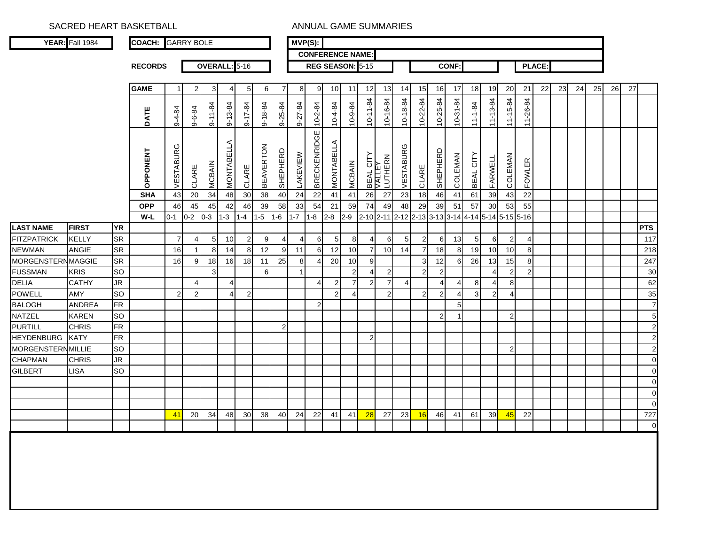SACRED HEART BASKETBALL ANNUAL GAME SUMMARIES

|                           | YEAR: Fall 1984 |           | <b>COACH: GARRY BOLE</b> |                |                |                 |               |                |                  |                | $\overline{\mathsf{MVP}}(S)$ : |                         |                 |                |                            |                |                 |                                                   |                |                |                |                |                |                |        |    |    |    |    |    |                |
|---------------------------|-----------------|-----------|--------------------------|----------------|----------------|-----------------|---------------|----------------|------------------|----------------|--------------------------------|-------------------------|-----------------|----------------|----------------------------|----------------|-----------------|---------------------------------------------------|----------------|----------------|----------------|----------------|----------------|----------------|--------|----|----|----|----|----|----------------|
|                           |                 |           |                          |                |                |                 |               |                |                  |                |                                | <b>CONFERENCE NAME:</b> |                 |                |                            |                |                 |                                                   |                |                |                |                |                |                |        |    |    |    |    |    |                |
|                           |                 |           | <b>RECORDS</b>           |                |                | OVERALL: 5-16   |               |                |                  |                |                                | REG SEASON: 5-15        |                 |                |                            |                |                 |                                                   |                | <b>CONF:</b>   |                |                |                |                | PLACE: |    |    |    |    |    |                |
|                           |                 |           |                          |                |                |                 |               |                |                  |                |                                |                         |                 |                |                            |                |                 |                                                   |                |                |                |                |                |                |        |    |    |    |    |    |                |
|                           |                 |           | <b>GAME</b>              |                | 2              | 3               |               | 5 <sub>l</sub> | 6                | 7              | 8                              | 9                       | 10              | 11             | 12                         | 13             | 14              | 15                                                | 16             | 17             | 18             | 19             | 20             | 21             | 22     | 23 | 24 | 25 | 26 | 27 |                |
|                           |                 |           |                          |                |                |                 |               |                |                  |                |                                |                         |                 |                |                            | 10-16-84       | 10-18-84        | 10-22-84                                          | 10-25-84       | 10-31-84       |                |                |                |                |        |    |    |    |    |    |                |
|                           |                 |           | DATE                     | $9 - 4 - 84$   | 9-6-84         | $9 - 11 - 84$   | $9 - 13 - 84$ | $9 - 17 - 84$  | 9-18-84          | 9-25-84        | 9-27-84                        | $10 - 2 - 84$           | 10-4-84         | 10-9-84        | $10 - 11 - 84$             |                |                 |                                                   |                |                | $11 - 1 - 84$  | $11 - 13 - 84$ | $11 - 15 - 84$ | 11-26-84       |        |    |    |    |    |    |                |
|                           |                 |           |                          |                |                |                 |               |                |                  |                |                                |                         |                 |                |                            |                |                 |                                                   |                |                |                |                |                |                |        |    |    |    |    |    |                |
|                           |                 |           |                          |                |                |                 |               |                |                  |                |                                |                         |                 |                |                            |                |                 |                                                   |                |                |                |                |                |                |        |    |    |    |    |    |                |
|                           |                 |           | OPPONENT                 | VESTABURG      | CLARE          | <b>MCBAIN</b>   | MONTABELLA    | CLARE          | <b>BEAVERTON</b> | SHEPHERD       | LAKEVIEW                       | <b>BRECKENRIDGE</b>     | MONTABELLA      | <b>MCBAIN</b>  | <b>BEAL CITY</b><br>VALLEY | LUTHERN        | VESTABURG       | CLARE                                             | SHEPHERD       | COLEMAN        | BEAL CITY      | FARWELL        | <b>COLEMAN</b> | <b>FOWLER</b>  |        |    |    |    |    |    |                |
|                           |                 |           | <b>SHA</b>               | 43             | 20             | 34              | 48            | 30             | 38               | 40             | 24                             | 22                      | 41              | 41             | 26                         | 27             | 23              | 18                                                | 46             | 41             | 61             | 39             | 43             | 22             |        |    |    |    |    |    |                |
|                           |                 |           | <b>OPP</b>               | 46             | 45             | 45              | 42            | 46             | 39               | 58             | 33                             | 54                      | 21              | 59             | 74                         | 49             | 48              | 29                                                | 39             | 51             | 57             | 30             | 53             | 55             |        |    |    |    |    |    |                |
|                           |                 |           | W-L                      | $0 - 1$        | $0 - 2$        | $0 - 3$         | $1 - 3$       | $1 - 4$        | $1 - 5$          | $1 - 6$        | $1 - 7$                        | $1-8$                   | $2 - 8$         | $2 - 9$        |                            |                |                 | 2-10 2-11 2-12 2-13 3-13 3-14 4-14 5-14 5-15 5-16 |                |                |                |                |                |                |        |    |    |    |    |    |                |
|                           | <b>FIRST</b>    | <b>YR</b> |                          |                |                |                 |               |                |                  |                |                                |                         |                 |                |                            |                |                 |                                                   |                |                |                |                |                |                |        |    |    |    |    |    | <b>PTS</b>     |
| LAST NAME<br>FITZPATRICK  | <b>KELLY</b>    | <b>SR</b> |                          | $\overline{7}$ | 4              | $5\overline{)}$ | 10            | $\overline{2}$ | 9                | $\overline{4}$ | $\overline{4}$                 | 6                       | $5\phantom{.0}$ | 8              | 4                          | 6              | $5\overline{)}$ | $\overline{2}$                                    | 6              | 13             | $\overline{5}$ | 6              | $\overline{2}$ | 4              |        |    |    |    |    |    | 117            |
| <b>NEWMAN</b>             | ANGIE           | <b>SR</b> |                          | 16             |                | 8               | 14            | 8              | 12               | 9              | 11                             | 6                       | 12              | 10             | $\overline{7}$             | 10             | 14              | $\overline{7}$                                    | 18             | 8              | 19             | 10             | 10             | 8              |        |    |    |    |    |    | 218            |
| <b>MORGENSTERN MAGGIE</b> |                 | SR        |                          | 16             | 9              | 18              | 16            | 18             | 11               | 25             | 8                              | 41                      | 20              | 10             | 9                          |                |                 | 3                                                 | 12             | 6              | 26             | 13             | 15             | 8              |        |    |    |    |    |    | 247            |
| <b>FUSSMAN</b>            | <b>KRIS</b>     | <b>SO</b> |                          |                |                | 3               |               |                | 6                |                |                                |                         |                 | $\overline{2}$ | 4                          | $\mathbf{2}$   |                 | $\boldsymbol{2}$                                  | $\overline{2}$ |                |                | $\overline{4}$ | $\overline{2}$ | $\overline{2}$ |        |    |    |    |    |    | 30             |
| <b>DELIA</b>              | <b>CATHY</b>    | <b>JR</b> |                          |                | 4              |                 |               |                |                  |                |                                | 4                       | $\overline{2}$  | $\overline{7}$ | $\overline{2}$             | $\overline{7}$ | 4               |                                                   | $\overline{4}$ | 4              | 8              | $\overline{4}$ | 8              |                |        |    |    |    |    |    | 62             |
| <b>POWELL</b>             | AMY             | <b>SO</b> |                          | $\overline{2}$ | $\overline{2}$ |                 |               | 2 <sub>l</sub> |                  |                |                                |                         | $\overline{2}$  | 4              |                            | 2 <sub>1</sub> |                 | $\overline{2}$                                    | $\overline{2}$ | $\overline{4}$ | 3              | $\overline{2}$ | $\overline{4}$ |                |        |    |    |    |    |    | 35             |
| <b>BALOGH</b>             | <b>ANDREA</b>   | <b>FR</b> |                          |                |                |                 |               |                |                  |                |                                | $\overline{2}$          |                 |                |                            |                |                 |                                                   |                | 5              |                |                |                |                |        |    |    |    |    |    | $\overline{7}$ |
| NATZEL                    | <b>KAREN</b>    | <b>SO</b> |                          |                |                |                 |               |                |                  |                |                                |                         |                 |                |                            |                |                 |                                                   | $\overline{c}$ | 1              |                |                | $\overline{2}$ |                |        |    |    |    |    |    | 5 <sub>5</sub> |
| <b>PURTILL</b>            | <b>CHRIS</b>    | <b>FR</b> |                          |                |                |                 |               |                |                  | $\mathbf{2}$   |                                |                         |                 |                |                            |                |                 |                                                   |                |                |                |                |                |                |        |    |    |    |    |    | $\mathbf{2}$   |
| <b>HEYDENBURG</b>         | <b>KATY</b>     | FR        |                          |                |                |                 |               |                |                  |                |                                |                         |                 |                | $\overline{2}$             |                |                 |                                                   |                |                |                |                |                |                |        |    |    |    |    |    | $\mathbf{2}$   |
| <b>MORGENSTERN MILLIE</b> |                 | <b>SO</b> |                          |                |                |                 |               |                |                  |                |                                |                         |                 |                |                            |                |                 |                                                   |                |                |                |                | $\overline{2}$ |                |        |    |    |    |    |    | $\mathbf{2}$   |
| <b>CHAPMAN</b>            | <b>CHRIS</b>    | <b>JR</b> |                          |                |                |                 |               |                |                  |                |                                |                         |                 |                |                            |                |                 |                                                   |                |                |                |                |                |                |        |    |    |    |    |    | $\overline{0}$ |
| GILBERT                   | <b>LISA</b>     | <b>SO</b> |                          |                |                |                 |               |                |                  |                |                                |                         |                 |                |                            |                |                 |                                                   |                |                |                |                |                |                |        |    |    |    |    |    | $\overline{0}$ |
|                           |                 |           |                          |                |                |                 |               |                |                  |                |                                |                         |                 |                |                            |                |                 |                                                   |                |                |                |                |                |                |        |    |    |    |    |    | $\overline{0}$ |
|                           |                 |           |                          |                |                |                 |               |                |                  |                |                                |                         |                 |                |                            |                |                 |                                                   |                |                |                |                |                |                |        |    |    |    |    |    | $\overline{0}$ |
|                           |                 |           |                          |                |                |                 |               |                |                  |                |                                |                         |                 |                |                            |                |                 |                                                   |                |                |                |                |                |                |        |    |    |    |    |    | $\overline{0}$ |
|                           |                 |           |                          | 4 <sup>1</sup> | 20             | 34              | 48            | 30             | 38               | 40             | 24                             | 22                      | 41              | 41             | 28                         | 27             | 23              | 16                                                | 46             | 41             | 61             | 39             | 45             | 22             |        |    |    |    |    |    | 727            |
|                           |                 |           |                          |                |                |                 |               |                |                  |                |                                |                         |                 |                |                            |                |                 |                                                   |                |                |                |                |                |                |        |    |    |    |    |    | $\overline{0}$ |
|                           |                 |           |                          |                |                |                 |               |                |                  |                |                                |                         |                 |                |                            |                |                 |                                                   |                |                |                |                |                |                |        |    |    |    |    |    |                |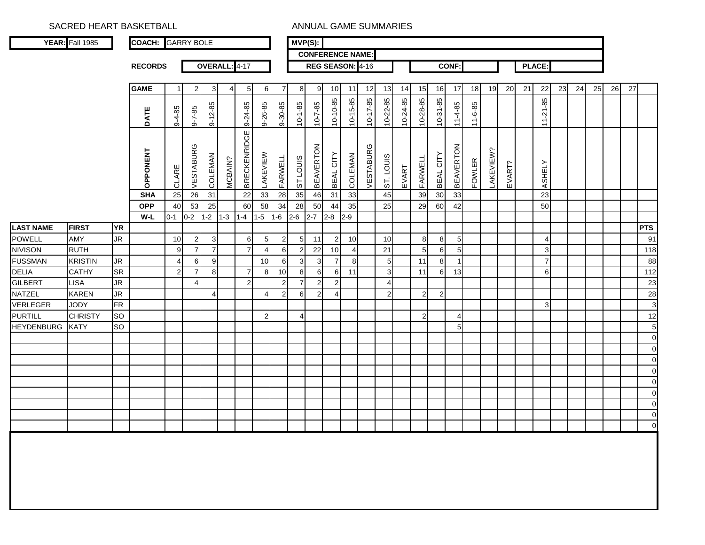SACRED HEART BASKETBALL ANNUAL GAME SUMMARIES

|                                  | <b>YEAR:</b> Fall 1985         |           | <b>COACH: GARRY BOLE</b> |                     |                     |                       |                |                     |                      |                 |                     | $MVP(S)$ :              |                      |                  |                |                       |          |                |                |                  |               |           |        |    |                                |    |    |    |    |    |              |
|----------------------------------|--------------------------------|-----------|--------------------------|---------------------|---------------------|-----------------------|----------------|---------------------|----------------------|-----------------|---------------------|-------------------------|----------------------|------------------|----------------|-----------------------|----------|----------------|----------------|------------------|---------------|-----------|--------|----|--------------------------------|----|----|----|----|----|--------------|
|                                  |                                |           |                          |                     |                     |                       |                |                     |                      |                 |                     | <b>CONFERENCE NAME:</b> |                      |                  |                |                       |          |                |                |                  |               |           |        |    |                                |    |    |    |    |    |              |
|                                  |                                |           | <b>RECORDS</b>           |                     |                     |                       | OVERALL: 4-17  |                     |                      |                 |                     |                         |                      | REG SEASON: 4-16 |                |                       |          |                |                | <b>CONF:</b>     |               |           |        |    | PLACE:                         |    |    |    |    |    |              |
|                                  |                                |           |                          |                     |                     |                       |                |                     |                      |                 |                     |                         |                      |                  |                |                       |          |                |                |                  |               |           |        |    |                                |    |    |    |    |    |              |
|                                  |                                |           | <b>GAME</b>              | $\overline{1}$      | $\overline{c}$      | 3                     | $\overline{4}$ | 5                   | 6                    | $\overline{7}$  | 8                   | 9                       | 10                   | 11               | 12             | 13                    | 14       | 15             | 16             | 17               | 18            | 19        | 20     | 21 | 22                             | 23 | 24 | 25 | 26 | 27 |              |
|                                  |                                |           | DATE                     | $9 - 4 - 85$        | $8 - 7 - 85$        | $9 - 12 - 85$         |                | 9-24-85             | 9-26-85              | 9-30-85         | $10 - 1 - 85$       | $10 - 7 - 85$           | $10 - 10 - 85$       | 10-15-85         | $10 - 17 - 85$ | 10-22-85              | 10-24-85 | 10-28-85       | $10-31-85$     | $11-4-85$        | $11 - 6 - 85$ |           |        |    | နှ<br>$11 - 21$                |    |    |    |    |    |              |
|                                  |                                |           | <b>OPPONENT</b>          | CLARE               | VESTABURG           | COLEMAN               | <b>MCBAIN?</b> | <b>BRECKENRIDGE</b> | LAKEVIEW             | FARWELL         | ST LOUIS            | <b>BEAVERTON</b>        | BEAL CITY            | COLEMAN          | VESTABURG      | ST. LOUIS             | EVART    | FARWELL        | BEAL CITY      | <b>BEAVERTON</b> | <b>FOWLER</b> | LAKEVIEW? | EVART? |    | <b>ASHELY</b>                  |    |    |    |    |    |              |
|                                  |                                |           | <b>SHA</b>               | 25                  | 26                  | 31                    |                | 22                  | 33                   | $\overline{28}$ | 35                  | 46                      | 31                   | 33               |                | 45                    |          | 39             | 30             | 33               |               |           |        |    | 23                             |    |    |    |    |    |              |
|                                  |                                |           | <b>OPP</b>               | 40                  | 53                  | 25                    |                | 60                  | 58                   | 34              | 28                  | 50                      | 44                   | 35               |                | 25                    |          | 29             | 60             | 42               |               |           |        |    | 50                             |    |    |    |    |    |              |
|                                  |                                |           | W-L                      | $0 - 1$             | $0 - 2$             | $1-2$                 | $1 - 3$        | $1 - 4$             | $1 - 5$              | $1 - 6$         | $2 - 6$             | $2 - 7$                 | $2 - 8$              | $2 - 9$          |                |                       |          |                |                |                  |               |           |        |    |                                |    |    |    |    |    |              |
| <b>LAST NAME</b>                 | <b>FIRST</b>                   | <b>YR</b> |                          |                     |                     |                       |                |                     |                      |                 |                     |                         |                      |                  |                |                       |          |                |                |                  |               |           |        |    |                                |    |    |    |    |    | <b>PTS</b>   |
| <b>POWELL</b>                    | AMY                            | <b>JR</b> |                          | 10                  | $\boldsymbol{2}$    | $\mathbf{3}$          |                | 6<br>$\overline{7}$ | $\sqrt{5}$           | $\overline{c}$  | $\sqrt{5}$          | 11                      | $\overline{2}$       | 10               |                | 10                    |          | 8 <sup>1</sup> | 8              | 5                |               |           |        |    | $\overline{4}$                 |    |    |    |    |    | 91           |
| <b>NIVISON</b><br><b>FUSSMAN</b> | <b>RUTH</b>                    | <b>JR</b> |                          | 9<br>$\overline{4}$ | $\overline{7}$      | $\overline{7}$        |                |                     | $\overline{4}$<br>10 | $\,6\,$         | $\overline{2}$<br>3 | 22                      | 10<br>$\overline{7}$ | $\overline{4}$   |                | 21                    |          | 5              | 6<br>8         | 5                |               |           |        |    | $\mathbf{3}$<br>$\overline{7}$ |    |    |    |    |    | 118          |
| DELIA                            | <b>KRISTIN</b><br><b>CATHY</b> | <b>SR</b> |                          | $\overline{2}$      | 6<br>$\overline{7}$ | $\boldsymbol{9}$<br>8 |                | $\overline{7}$      | 8                    | $\,6\,$<br>10   | 8                   | 3<br>6                  | 6                    | 8<br>11          |                | 5<br>$\mathbf{3}$     |          | 11<br>11       | 6              | 13               |               |           |        |    | 6                              |    |    |    |    |    | 88<br>112    |
| <b>GILBERT</b>                   | <b>LISA</b>                    | <b>JR</b> |                          |                     | $\overline{4}$      |                       |                | $\overline{2}$      |                      | $\overline{c}$  | $\overline{7}$      | $\overline{2}$          | $\overline{2}$       |                  |                | $\boldsymbol{\Delta}$ |          |                |                |                  |               |           |        |    |                                |    |    |    |    |    | 23           |
| NATZEL                           | <b>KAREN</b>                   | <b>JR</b> |                          |                     |                     | $\overline{4}$        |                |                     | $\overline{4}$       | $\overline{2}$  | 6                   | $\overline{2}$          | $\overline{4}$       |                  |                | $\overline{a}$        |          | $\overline{2}$ | $\overline{2}$ |                  |               |           |        |    |                                |    |    |    |    |    | 28           |
| VERLEGER                         | <b>JODY</b>                    | <b>FR</b> |                          |                     |                     |                       |                |                     |                      |                 |                     |                         |                      |                  |                |                       |          |                |                |                  |               |           |        |    | 3 <sub>l</sub>                 |    |    |    |    |    | $\mathbf{3}$ |
| <b>PURTILL</b>                   | <b>CHRISTY</b>                 | <b>SO</b> |                          |                     |                     |                       |                |                     | $\overline{2}$       |                 | $\overline{4}$      |                         |                      |                  |                |                       |          | $\overline{2}$ |                | $\overline{4}$   |               |           |        |    |                                |    |    |    |    |    | 12           |
| <b>HEYDENBURG</b>                | <b>KATY</b>                    | <b>SO</b> |                          |                     |                     |                       |                |                     |                      |                 |                     |                         |                      |                  |                |                       |          |                |                | 5                |               |           |        |    |                                |    |    |    |    |    | $\sqrt{5}$   |
|                                  |                                |           |                          |                     |                     |                       |                |                     |                      |                 |                     |                         |                      |                  |                |                       |          |                |                |                  |               |           |        |    |                                |    |    |    |    |    | $\mathbf 0$  |
|                                  |                                |           |                          |                     |                     |                       |                |                     |                      |                 |                     |                         |                      |                  |                |                       |          |                |                |                  |               |           |        |    |                                |    |    |    |    |    | $\mathbf 0$  |
|                                  |                                |           |                          |                     |                     |                       |                |                     |                      |                 |                     |                         |                      |                  |                |                       |          |                |                |                  |               |           |        |    |                                |    |    |    |    |    | $\mathbf 0$  |
|                                  |                                |           |                          |                     |                     |                       |                |                     |                      |                 |                     |                         |                      |                  |                |                       |          |                |                |                  |               |           |        |    |                                |    |    |    |    |    | $\mathbf 0$  |
|                                  |                                |           |                          |                     |                     |                       |                |                     |                      |                 |                     |                         |                      |                  |                |                       |          |                |                |                  |               |           |        |    |                                |    |    |    |    |    | $\mathbf 0$  |
|                                  |                                |           |                          |                     |                     |                       |                |                     |                      |                 |                     |                         |                      |                  |                |                       |          |                |                |                  |               |           |        |    |                                |    |    |    |    |    | $\pmb{0}$    |
|                                  |                                |           |                          |                     |                     |                       |                |                     |                      |                 |                     |                         |                      |                  |                |                       |          |                |                |                  |               |           |        |    |                                |    |    |    |    |    | $\pmb{0}$    |
|                                  |                                |           |                          |                     |                     |                       |                |                     |                      |                 |                     |                         |                      |                  |                |                       |          |                |                |                  |               |           |        |    |                                |    |    |    |    |    | $\pmb{0}$    |
|                                  |                                |           |                          |                     |                     |                       |                |                     |                      |                 |                     |                         |                      |                  |                |                       |          |                |                |                  |               |           |        |    |                                |    |    |    |    |    | $\mathbf 0$  |
|                                  |                                |           |                          |                     |                     |                       |                |                     |                      |                 |                     |                         |                      |                  |                |                       |          |                |                |                  |               |           |        |    |                                |    |    |    |    |    |              |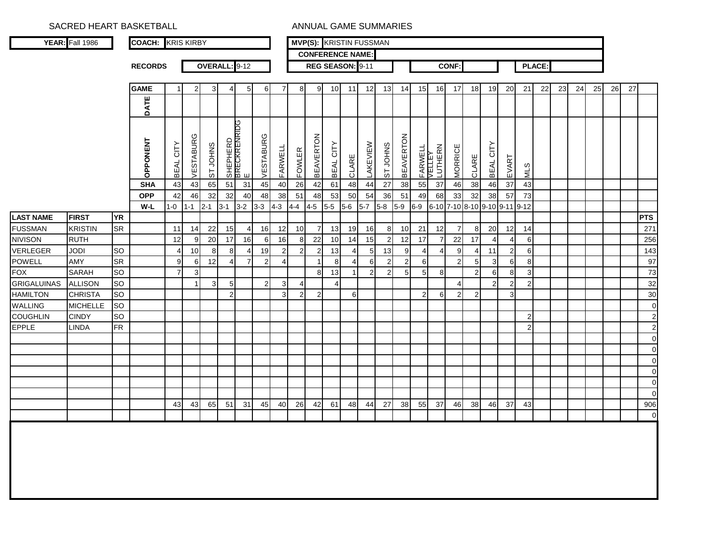SACRED HEART BASKETBALL **ANNUAL GAME SUMMARIES** 

|                    | <b>YEAR: Fall 1986</b> |           | <b>COACH: KRIS KIRBY</b> |                     |                      |                |                |                               |                |                |                |                  |                       | <b>MVP(S): KRISTIN FUSSMAN</b> |                |                |                  |                   |                |                       |                          |                      |                |                |               |    |    |    |    |    |                |
|--------------------|------------------------|-----------|--------------------------|---------------------|----------------------|----------------|----------------|-------------------------------|----------------|----------------|----------------|------------------|-----------------------|--------------------------------|----------------|----------------|------------------|-------------------|----------------|-----------------------|--------------------------|----------------------|----------------|----------------|---------------|----|----|----|----|----|----------------|
|                    |                        |           |                          |                     |                      |                |                |                               |                |                |                |                  |                       | <b>CONFERENCE NAME:</b>        |                |                |                  |                   |                |                       |                          |                      |                |                |               |    |    |    |    |    |                |
|                    |                        |           | <b>RECORDS</b>           |                     |                      | <b>OVERALL</b> |                | $: 9 - 12$                    |                |                |                |                  |                       | REG SEASON: 9-11               |                |                |                  |                   |                | <b>CONF:</b>          |                          |                      |                |                | <b>PLACE:</b> |    |    |    |    |    |                |
|                    |                        |           | <b>GAME</b>              | $\mathbf{1}$        | $\overline{2}$       | $\mathbf{3}$   | 4              | 5 <sub>5</sub>                | 6              | $\overline{7}$ | 8              | 9                | 10                    | 11                             | 12             | 13             | 14               | 15                | 16             | 17                    | 18                       | 19                   | 20             | 21             | 22            | 23 | 24 | 25 | 26 | 27 |                |
|                    |                        |           | DATE                     |                     |                      |                |                |                               |                |                |                |                  |                       |                                |                |                |                  |                   |                |                       |                          |                      |                |                |               |    |    |    |    |    |                |
|                    |                        |           | <b>OPPONENT</b>          | CITY<br><b>BEAL</b> | ৩<br><b>VESTABUR</b> | ST JOHNS       |                | SHEPHERD<br>BRECKRENRIDG<br>E | VESTABURG      | FARWELL        | <b>FOWLER</b>  | <b>BEAVERTON</b> | BEAL CITY             | CLARE                          | LAKEVIEW       | ST JOHNS       | <b>BEAVERTON</b> | FARWELL<br>VELLEY | LUTHERN        | <b>MORRICE</b>        | CLARE                    | BEAL CITY            | EVART          | <b>NIN</b>     |               |    |    |    |    |    |                |
|                    |                        |           | <b>SHA</b>               | 43                  | 43                   | 65             | 51             | 31                            | 45             | 40             | 26             | 42               | 61                    | 48                             | 44             | 27             | 38               | 55                | 37             | 46                    | 38                       | 46                   | 37             | 43             |               |    |    |    |    |    |                |
|                    |                        |           | <b>OPP</b><br>W-L        | 42                  | 46                   | 32<br>$2 - 1$  | 32             | 40<br>$3-2$                   | 48             | 38             | 51             | 48               | 53                    | 50<br>$5-6$                    | 54             | 36<br>$5-8$    | 51<br>$5-9$      | 49<br>$6-9$       | 68<br>$6 - 10$ | 33                    | 32                       | 38<br>9-10 9-11 9-12 | 57             | 73             |               |    |    |    |    |    |                |
| <b>LAST NAME</b>   | <b>FIRST</b>           | <b>YR</b> |                          | $1 - 0$             | $1 - 1$              |                | $3-1$          |                               | $3 - 3$        | $4 - 3$        | $4 - 4$        | $4-5$            | $5-5$                 |                                | $5 - 7$        |                |                  |                   |                | $7 - 10$              | $8 - 10$                 |                      |                |                |               |    |    |    |    |    | <b>PTS</b>     |
| <b>FUSSMAN</b>     | <b>KRISTIN</b>         | <b>SR</b> |                          | 11                  | 14                   | 22             | 15             | 4                             | 16             | 12             | 10             | 7                | 13                    | 19                             | 16             | 8              | 10               | 21                | 12             | $\overline{7}$        | -8                       | 20                   | 12             | 14             |               |    |    |    |    |    | 271            |
| <b>NIVISON</b>     | <b>RUTH</b>            |           |                          | 12                  | 9                    | 20             | 17             | 16                            | 6              | 16             | 8              | 22               | 10                    | 14                             | 15             | $\overline{2}$ | 12               | 17                | 7              | 22                    | 17                       | $\overline{4}$       | 4              | $6 \mid$       |               |    |    |    |    |    | 256            |
| <b>VERLEGER</b>    | <b>JODI</b>            | <b>SO</b> |                          | $\overline{4}$      | 10                   | 8              | 8              | 4                             | 19             | $\overline{c}$ | $\overline{c}$ | $\overline{2}$   | 13                    | 4                              | 5              | 13             | 9                | $\overline{4}$    | $\overline{4}$ | 9                     | $\overline{\mathcal{L}}$ | 11                   | $\overline{2}$ | 6              |               |    |    |    |    |    | 143            |
| <b>POWELL</b>      | AMY                    | <b>SR</b> |                          | 9                   | 6                    | 12             | 4              | $\overline{7}$                | $\overline{2}$ | $\overline{4}$ |                | 1                | 8                     | $\overline{4}$                 | 6              | $\overline{2}$ | $\overline{2}$   | 6                 |                | $\overline{2}$        | 5                        | 3                    | 6              | 8              |               |    |    |    |    |    | 97             |
| <b>FOX</b>         | <b>SARAH</b>           | <b>SO</b> |                          | $\overline{7}$      | 3                    |                |                |                               |                |                |                | 8                | 13                    | $\mathbf{1}$                   | $\overline{2}$ | $\overline{2}$ | 5                | 5                 | 8              |                       | $\overline{2}$           | 6                    | 8              | 3 <sup>1</sup> |               |    |    |    |    |    | 73             |
| <b>GRIGALUINAS</b> | <b>ALLISON</b>         | <b>SO</b> |                          |                     |                      | 3              | 5              |                               | $\mathbf{2}$   | 3              | $\overline{4}$ |                  | $\boldsymbol{\Delta}$ |                                |                |                |                  |                   |                | $\boldsymbol{\Delta}$ |                          | $\overline{2}$       | $\overline{2}$ | $\overline{2}$ |               |    |    |    |    |    | 32             |
| <b>HAMILTON</b>    | <b>CHRISTA</b>         | <b>SO</b> |                          |                     |                      |                | $\overline{2}$ |                               |                | $\mathbf{3}$   | $\overline{2}$ | $\overline{2}$   |                       | 6                              |                |                |                  | $\overline{2}$    | 6              | $\overline{2}$        | $\overline{2}$           |                      | 3 <sup>1</sup> |                |               |    |    |    |    |    | 30             |
| <b>WALLING</b>     | <b>MICHELLE</b>        | <b>SO</b> |                          |                     |                      |                |                |                               |                |                |                |                  |                       |                                |                |                |                  |                   |                |                       |                          |                      |                |                |               |    |    |    |    |    | $\overline{0}$ |
| <b>COUGHLIN</b>    | <b>CINDY</b>           | <b>SO</b> |                          |                     |                      |                |                |                               |                |                |                |                  |                       |                                |                |                |                  |                   |                |                       |                          |                      |                | $\overline{2}$ |               |    |    |    |    |    | $\overline{2}$ |
| <b>EPPLE</b>       | <b>LINDA</b>           | <b>FR</b> |                          |                     |                      |                |                |                               |                |                |                |                  |                       |                                |                |                |                  |                   |                |                       |                          |                      |                | 2              |               |    |    |    |    |    | $\overline{2}$ |
|                    |                        |           |                          |                     |                      |                |                |                               |                |                |                |                  |                       |                                |                |                |                  |                   |                |                       |                          |                      |                |                |               |    |    |    |    |    | $\overline{O}$ |
|                    |                        |           |                          |                     |                      |                |                |                               |                |                |                |                  |                       |                                |                |                |                  |                   |                |                       |                          |                      |                |                |               |    |    |    |    |    | $\mathbf 0$    |
|                    |                        |           |                          |                     |                      |                |                |                               |                |                |                |                  |                       |                                |                |                |                  |                   |                |                       |                          |                      |                |                |               |    |    |    |    |    | $\pmb{0}$      |
|                    |                        |           |                          |                     |                      |                |                |                               |                |                |                |                  |                       |                                |                |                |                  |                   |                |                       |                          |                      |                |                |               |    |    |    |    |    | $\pmb{0}$      |
|                    |                        |           |                          |                     |                      |                |                |                               |                |                |                |                  |                       |                                |                |                |                  |                   |                |                       |                          |                      |                |                |               |    |    |    |    |    | $\mathbf 0$    |
|                    |                        |           |                          |                     |                      |                |                |                               |                |                |                |                  |                       |                                |                |                |                  |                   |                |                       |                          |                      |                |                |               |    |    |    |    |    | $\mathbf 0$    |
|                    |                        |           |                          | 43                  | 43                   | 65             | 51             | 31                            | 45             | 40             | 26             | 42               | 61                    | 48                             | 44             | 27             | 38               | 55                | 37             | 46                    | 38                       | 46                   | 37             | 43             |               |    |    |    |    |    | 906            |
|                    |                        |           |                          |                     |                      |                |                |                               |                |                |                |                  |                       |                                |                |                |                  |                   |                |                       |                          |                      |                |                |               |    |    |    |    |    | $\mathbf 0$    |
|                    |                        |           |                          |                     |                      |                |                |                               |                |                |                |                  |                       |                                |                |                |                  |                   |                |                       |                          |                      |                |                |               |    |    |    |    |    |                |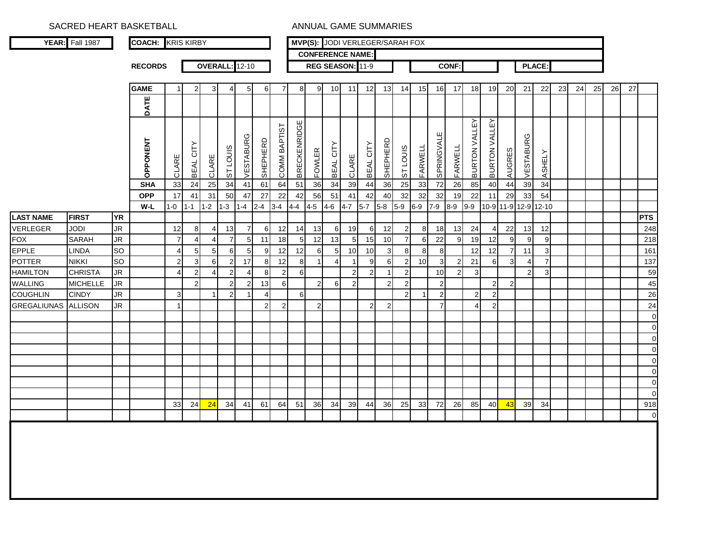|                    | SACRED HEART BASKETBALL |           |                          |                 |                     |                |                       |                |                |                |                     |                | <b>ANNUAL GAME SUMMARIES</b>    |                |                     |                |                |          |                |                |                         |                         |                      |                |                |    |    |    |    |    |                |
|--------------------|-------------------------|-----------|--------------------------|-----------------|---------------------|----------------|-----------------------|----------------|----------------|----------------|---------------------|----------------|---------------------------------|----------------|---------------------|----------------|----------------|----------|----------------|----------------|-------------------------|-------------------------|----------------------|----------------|----------------|----|----|----|----|----|----------------|
|                    | YEAR: Fall 1987         |           | <b>COACH: KRIS KIRBY</b> |                 |                     |                |                       |                |                |                |                     |                | MVP(S): JODI VERLEGER/SARAH FOX |                |                     |                |                |          |                |                |                         |                         |                      |                |                |    |    |    |    |    |                |
|                    |                         |           |                          |                 |                     |                |                       |                |                |                |                     |                | <b>CONFERENCE NAME:</b>         |                |                     |                |                |          |                |                |                         |                         |                      |                |                |    |    |    |    |    |                |
|                    |                         |           | <b>RECORDS</b>           |                 |                     |                | <b>OVERALL:</b> 12-10 |                |                |                |                     |                | REG SEASON: 11-9                |                |                     |                |                |          |                | <b>CONF:</b>   |                         |                         |                      |                | PLACE:         |    |    |    |    |    |                |
|                    |                         |           | <b>GAME</b>              |                 | $\overline{2}$      | 3              | $\overline{4}$        | 5              | 6              | $\overline{7}$ | 8                   | 9              | 10                              | 11             | 12                  | 13             | 14             | 15       |                | 16 17          | 18                      | 19                      | 20                   | 21             | 22             | 23 | 24 | 25 | 26 | 27 |                |
|                    |                         |           | DATE                     |                 |                     |                |                       |                |                |                |                     |                |                                 |                |                     |                |                |          |                |                |                         |                         |                      |                |                |    |    |    |    |    |                |
|                    |                         |           |                          |                 |                     |                |                       |                |                |                |                     |                |                                 |                |                     |                |                |          |                |                |                         |                         |                      |                |                |    |    |    |    |    |                |
|                    |                         |           | <b>OPPONENT</b>          | CLARE           | CITY<br><b>BEAL</b> | CLARE          | <b>STLOUIS</b>        | VESTABURG      | SHEPHERD       | COMM BAPTIST   | <b>BRECKENRIDGE</b> | <b>FOWLER</b>  | CITY<br><b>BEAL</b>             | CLARE          | CITY<br><b>BEAL</b> | SHEPHERD       | <b>STLOUIS</b> | FARWELL  | ш<br>SPRINGVAL | FARWELL        | VALLEY<br><b>BURTON</b> | <b>VALLEY</b><br>BURTON | <b>AUGRES</b>        | /ESTABURG      | ASHELY         |    |    |    |    |    |                |
|                    |                         |           | <b>SHA</b>               | 33              | 24                  | 25             | 34                    | 41             | 61             | 64             | 51                  | 36             | 34                              | 39             | 44                  | 36             | 25             | 33       | 72             | 26             | 85                      | 40                      | 44                   | 39             | 34             |    |    |    |    |    |                |
|                    |                         |           | <b>OPP</b>               | 17              | 41                  | 31             | 50                    | 47             | 27             | 22             | 42                  | 56             | 51                              | 41             | 42                  | 40             | 32             | 32       | 32             | 19             | 22                      | 11                      | 29                   | 33             | 54             |    |    |    |    |    |                |
|                    |                         |           | W-L                      | $1 - 0$ $1 - 1$ |                     | $1-2$          | $1 - 3$               | $1 - 4$        | $2 - 4$        | $3 - 4$        | $4-4$               | $4 - 5$        | $4 - 6$                         | $4 - 7$        | $5-7$               | $5-8$          | $5-9$          | $6-9$    | $7-9$          | $8-9$          | $9-9$                   |                         | 10-9 11-9 12-9 12-10 |                |                |    |    |    |    |    |                |
| <b>LAST NAME</b>   | <b>FIRST</b>            | <b>YR</b> |                          |                 |                     |                |                       |                |                |                |                     |                |                                 |                |                     |                |                |          |                |                |                         |                         |                      |                |                |    |    |    |    |    | <b>PTS</b>     |
| <b>VERLEGER</b>    | <b>JODI</b>             | <b>JR</b> |                          | 12              | 8                   | $\overline{4}$ | 13                    | $\overline{7}$ | 6              | 12             | 14                  | 13             | 6                               | 19             | 6                   | 12             | $\overline{2}$ | $8 \mid$ | 18             | 13             | 24                      | 4                       | 22                   |                | 13 12          |    |    |    |    |    | 248            |
| <b>FOX</b>         | <b>SARAH</b>            | <b>JR</b> |                          | $\overline{7}$  | 4                   | 4              | $\overline{7}$        | $\sqrt{5}$     | 11             | 18             | 5                   | 12             | 13                              | -5             | 15                  | 10             | $\overline{7}$ | $6 \mid$ | 22             | 9              | 19                      | 12                      | 9                    | $9\,$          | $\mathsf g$    |    |    |    |    |    | 218            |
| <b>EPPLE</b>       | <b>LINDA</b>            | <b>SO</b> |                          | 4               | $5\overline{)}$     | 5 <sub>5</sub> | 6                     | $\sqrt{5}$     | 9              | 12             | 12                  | 6              | 5                               | 10             | 10                  | 3              | 8              | 8        | 8              |                | 12                      | 12                      | $\overline{7}$       | 11             | $\mathbf{3}$   |    |    |    |    |    | 161            |
| <b>POTTER</b>      | <b>NIKKI</b>            | <b>SO</b> |                          | $\mathbf{2}$    | $\mathbf{3}$        | 6              | $\overline{c}$        | 17             | 8              | 12             | 8                   |                | $\Delta$                        |                | 9                   | 6              | 2              | 10       | 3              | $\overline{2}$ | 21                      | 6                       | 3                    | $\overline{4}$ | $\overline{7}$ |    |    |    |    |    | 137            |
| <b>HAMILTON</b>    | <b>CHRISTA</b>          | JR        |                          | 4               | $\sqrt{2}$          | 4              | $\overline{2}$        | 4              | 8              | $\overline{2}$ | 6                   |                |                                 | $\overline{2}$ | $\overline{2}$      |                |                |          | 10             | $\overline{2}$ | 3                       |                         |                      | $\overline{2}$ | 3              |    |    |    |    |    | 59             |
| WALLING            | <b>MICHELLE</b>         | <b>JR</b> |                          |                 | $\overline{2}$      |                | $\overline{2}$        | 2              | 13             | 6              |                     | $\overline{2}$ | 6                               | $\overline{2}$ |                     | $\overline{2}$ |                |          | $\overline{2}$ |                |                         | $\overline{a}$          | $\overline{2}$       |                |                |    |    |    |    |    | 45             |
| <b>COUGHLIN</b>    | <b>CINDY</b>            | <b>JR</b> |                          | 3               |                     | $\overline{1}$ | $\mathbf 2$           |                | $\overline{4}$ |                | 6                   |                |                                 |                |                     |                |                |          | $\overline{2}$ |                | $\overline{2}$          | 2                       |                      |                |                |    |    |    |    |    | 26             |
| <b>GREGALIUNAS</b> | <b>ALLISON</b>          | <b>JR</b> |                          |                 |                     |                |                       |                | $\overline{2}$ | $\overline{2}$ |                     | $\overline{2}$ |                                 |                | $\overline{2}$      | 2              |                |          | $\overline{7}$ |                | Δ                       | $\boldsymbol{2}$        |                      |                |                |    |    |    |    |    | 24             |
|                    |                         |           |                          |                 |                     |                |                       |                |                |                |                     |                |                                 |                |                     |                |                |          |                |                |                         |                         |                      |                |                |    |    |    |    |    | $\overline{0}$ |
|                    |                         |           |                          |                 |                     |                |                       |                |                |                |                     |                |                                 |                |                     |                |                |          |                |                |                         |                         |                      |                |                |    |    |    |    |    | $\mathbf 0$    |
|                    |                         |           |                          |                 |                     |                |                       |                |                |                |                     |                |                                 |                |                     |                |                |          |                |                |                         |                         |                      |                |                |    |    |    |    |    | $\mathbf 0$    |
|                    |                         |           |                          |                 |                     |                |                       |                |                |                |                     |                |                                 |                |                     |                |                |          |                |                |                         |                         |                      |                |                |    |    |    |    |    | $\mathbf 0$    |
|                    |                         |           |                          |                 |                     |                |                       |                |                |                |                     |                |                                 |                |                     |                |                |          |                |                |                         |                         |                      |                |                |    |    |    |    |    | $\mathbf 0$    |
|                    |                         |           |                          |                 |                     |                |                       |                |                |                |                     |                |                                 |                |                     |                |                |          |                |                |                         |                         |                      |                |                |    |    |    |    |    | $\mathbf 0$    |
|                    |                         |           |                          |                 |                     |                |                       |                |                |                |                     |                |                                 |                |                     |                |                |          |                |                |                         |                         |                      |                |                |    |    |    |    |    | $\mathbf 0$    |
|                    |                         |           |                          |                 |                     |                |                       |                |                |                |                     |                |                                 |                |                     |                |                |          |                |                |                         |                         |                      |                |                |    |    |    |    |    | 0              |
|                    |                         |           |                          | 33              | 24                  | 24             | 34                    | 41             | 61             | 64             | 51                  | 36             | 34                              | 39             | 44                  | 36             | 25             | 33       | 72             | 26             | 85                      | 40                      | 43                   | 39             | 34             |    |    |    |    |    | 918            |
|                    |                         |           |                          |                 |                     |                |                       |                |                |                |                     |                |                                 |                |                     |                |                |          |                |                |                         |                         |                      |                |                |    |    |    |    |    | $\mathbf 0$    |